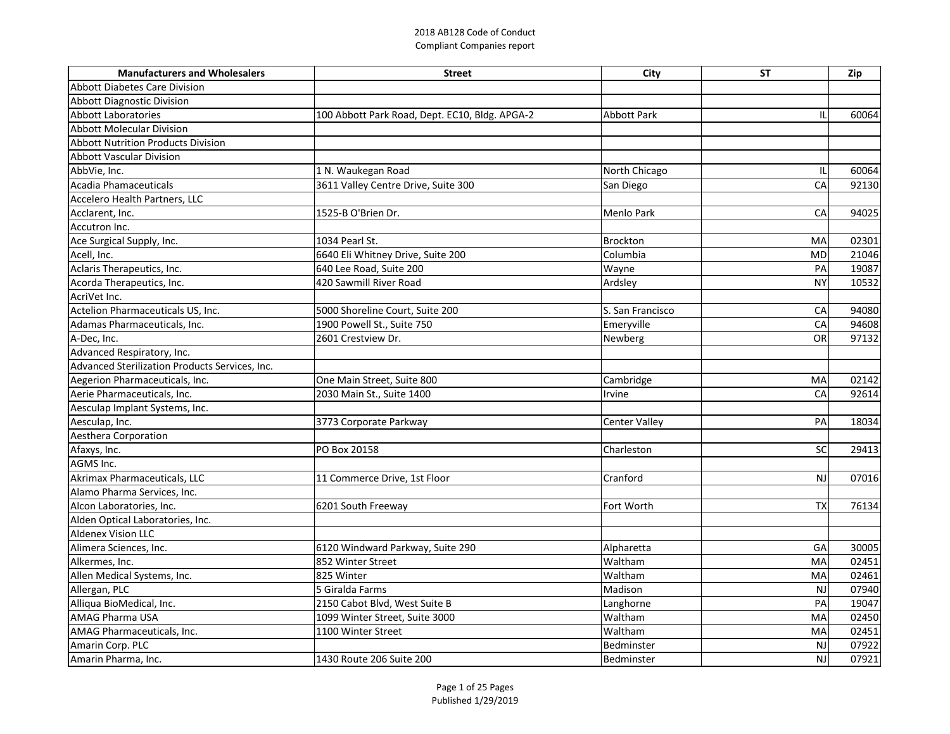| <b>Manufacturers and Wholesalers</b>           | <b>Street</b>                                  | City                 | <b>ST</b> | Zip   |
|------------------------------------------------|------------------------------------------------|----------------------|-----------|-------|
| <b>Abbott Diabetes Care Division</b>           |                                                |                      |           |       |
| <b>Abbott Diagnostic Division</b>              |                                                |                      |           |       |
| Abbott Laboratories                            | 100 Abbott Park Road, Dept. EC10, Bldg. APGA-2 | <b>Abbott Park</b>   |           | 60064 |
| <b>Abbott Molecular Division</b>               |                                                |                      |           |       |
| <b>Abbott Nutrition Products Division</b>      |                                                |                      |           |       |
| <b>Abbott Vascular Division</b>                |                                                |                      |           |       |
| AbbVie, Inc.                                   | 1 N. Waukegan Road                             | North Chicago        |           | 60064 |
| Acadia Phamaceuticals                          | 3611 Valley Centre Drive, Suite 300            | San Diego            | CA        | 92130 |
| Accelero Health Partners, LLC                  |                                                |                      |           |       |
| Acclarent, Inc.                                | 1525-B O'Brien Dr.                             | <b>Menlo Park</b>    | CA        | 94025 |
| Accutron Inc.                                  |                                                |                      |           |       |
| Ace Surgical Supply, Inc.                      | 1034 Pearl St.                                 | <b>Brockton</b>      | MA        | 02301 |
| Acell, Inc.                                    | 6640 Eli Whitney Drive, Suite 200              | Columbia             | <b>MD</b> | 21046 |
| Aclaris Therapeutics, Inc.                     | 640 Lee Road, Suite 200                        | Wayne                | PA        | 19087 |
| Acorda Therapeutics, Inc.                      | 420 Sawmill River Road                         | Ardsley              | <b>NY</b> | 10532 |
| AcriVet Inc.                                   |                                                |                      |           |       |
| Actelion Pharmaceuticals US, Inc.              | 5000 Shoreline Court, Suite 200                | S. San Francisco     | CA        | 94080 |
| Adamas Pharmaceuticals, Inc.                   | 1900 Powell St., Suite 750                     | Emeryville           | CA        | 94608 |
| A-Dec, Inc.                                    | 2601 Crestview Dr.                             | Newberg              | <b>OR</b> | 97132 |
| Advanced Respiratory, Inc.                     |                                                |                      |           |       |
| Advanced Sterilization Products Services, Inc. |                                                |                      |           |       |
| Aegerion Pharmaceuticals, Inc.                 | One Main Street, Suite 800                     | Cambridge            | MA        | 02142 |
| Aerie Pharmaceuticals, Inc.                    | 2030 Main St., Suite 1400                      | Irvine               | CA        | 92614 |
| Aesculap Implant Systems, Inc.                 |                                                |                      |           |       |
| Aesculap, Inc.                                 | 3773 Corporate Parkway                         | <b>Center Valley</b> | PA        | 18034 |
| Aesthera Corporation                           |                                                |                      |           |       |
| Afaxys, Inc.                                   | PO Box 20158                                   | Charleston           | <b>SC</b> | 29413 |
| AGMS Inc.                                      |                                                |                      |           |       |
| Akrimax Pharmaceuticals, LLC                   | 11 Commerce Drive, 1st Floor                   | Cranford             | NJ        | 07016 |
| Alamo Pharma Services, Inc.                    |                                                |                      |           |       |
| Alcon Laboratories, Inc.                       | 6201 South Freeway                             | Fort Worth           | TX        | 76134 |
| Alden Optical Laboratories, Inc.               |                                                |                      |           |       |
| <b>Aldenex Vision LLC</b>                      |                                                |                      |           |       |
| Alimera Sciences, Inc.                         | 6120 Windward Parkway, Suite 290               | Alpharetta           | GA        | 30005 |
| Alkermes, Inc.                                 | 852 Winter Street                              | Waltham              | MA        | 02451 |
| Allen Medical Systems, Inc.                    | 825 Winter                                     | Waltham              | MA        | 02461 |
| Allergan, PLC                                  | 5 Giralda Farms                                | Madison              | <b>NJ</b> | 07940 |
| Alliqua BioMedical, Inc.                       | 2150 Cabot Blvd, West Suite B                  | Langhorne            | PA        | 19047 |
| <b>AMAG Pharma USA</b>                         | 1099 Winter Street, Suite 3000                 | Waltham              | MA        | 02450 |
| AMAG Pharmaceuticals, Inc.                     | 1100 Winter Street                             | Waltham              | MA        | 02451 |
| Amarin Corp. PLC                               |                                                | Bedminster           | <b>NJ</b> | 07922 |
| Amarin Pharma, Inc.                            | 1430 Route 206 Suite 200                       | Bedminster           | <b>NJ</b> | 07921 |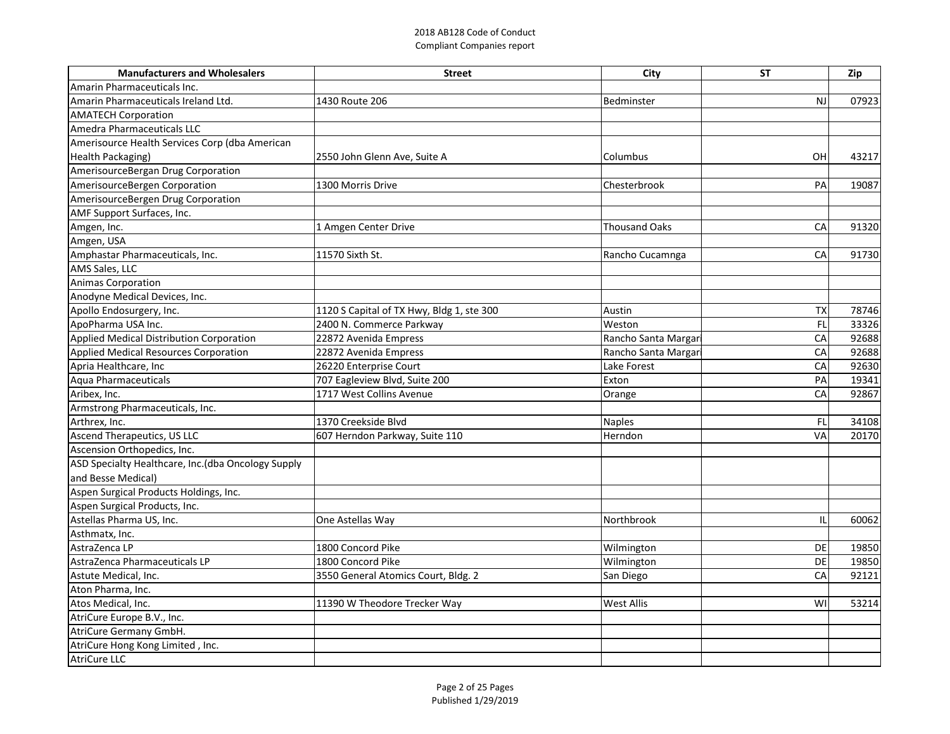| <b>Manufacturers and Wholesalers</b>                | <b>Street</b>                             | City                 | <b>ST</b> | Zip   |
|-----------------------------------------------------|-------------------------------------------|----------------------|-----------|-------|
| Amarin Pharmaceuticals Inc.                         |                                           |                      |           |       |
| Amarin Pharmaceuticals Ireland Ltd.                 | 1430 Route 206                            | Bedminster           | <b>NJ</b> | 07923 |
| <b>AMATECH Corporation</b>                          |                                           |                      |           |       |
| Amedra Pharmaceuticals LLC                          |                                           |                      |           |       |
| Amerisource Health Services Corp (dba American      |                                           |                      |           |       |
| Health Packaging)                                   | 2550 John Glenn Ave, Suite A              | <b>Columbus</b>      | OH        | 43217 |
| AmerisourceBergan Drug Corporation                  |                                           |                      |           |       |
| AmerisourceBergen Corporation                       | 1300 Morris Drive                         | Chesterbrook         | PA        | 19087 |
| AmerisourceBergen Drug Corporation                  |                                           |                      |           |       |
| AMF Support Surfaces, Inc.                          |                                           |                      |           |       |
| Amgen, Inc.                                         | 1 Amgen Center Drive                      | <b>Thousand Oaks</b> | CA        | 91320 |
| Amgen, USA                                          |                                           |                      |           |       |
| Amphastar Pharmaceuticals, Inc.                     | 11570 Sixth St.                           | Rancho Cucamnga      | CA        | 91730 |
| <b>AMS Sales, LLC</b>                               |                                           |                      |           |       |
| <b>Animas Corporation</b>                           |                                           |                      |           |       |
| Anodyne Medical Devices, Inc.                       |                                           |                      |           |       |
| Apollo Endosurgery, Inc.                            | 1120 S Capital of TX Hwy, Bldg 1, ste 300 | Austin               | <b>TX</b> | 78746 |
| ApoPharma USA Inc.                                  | 2400 N. Commerce Parkway                  | Weston               | FL        | 33326 |
| Applied Medical Distribution Corporation            | 22872 Avenida Empress                     | Rancho Santa Margar  | CA        | 92688 |
| <b>Applied Medical Resources Corporation</b>        | 22872 Avenida Empress                     | Rancho Santa Margar  | CA        | 92688 |
| Apria Healthcare, Inc                               | 26220 Enterprise Court                    | Lake Forest          | CA        | 92630 |
| Aqua Pharmaceuticals                                | 707 Eagleview Blvd, Suite 200             | Exton                | PA        | 19341 |
| Aribex, Inc.                                        | 1717 West Collins Avenue                  | Orange               | CA        | 92867 |
| Armstrong Pharmaceuticals, Inc.                     |                                           |                      |           |       |
| Arthrex, Inc.                                       | 1370 Creekside Blvd                       | Naples               | FL        | 34108 |
| <b>Ascend Therapeutics, US LLC</b>                  | 607 Herndon Parkway, Suite 110            | Herndon              | <b>VA</b> | 20170 |
| Ascension Orthopedics, Inc.                         |                                           |                      |           |       |
| ASD Specialty Healthcare, Inc. (dba Oncology Supply |                                           |                      |           |       |
| and Besse Medical)                                  |                                           |                      |           |       |
| Aspen Surgical Products Holdings, Inc.              |                                           |                      |           |       |
| Aspen Surgical Products, Inc.                       |                                           |                      |           |       |
| Astellas Pharma US, Inc.                            | One Astellas Way                          | Northbrook           |           | 60062 |
| Asthmatx, Inc.                                      |                                           |                      |           |       |
| AstraZenca LP                                       | 1800 Concord Pike                         | Wilmington           | DE        | 19850 |
| AstraZenca Pharmaceuticals LP                       | 1800 Concord Pike                         | Wilmington           | DE        | 19850 |
| Astute Medical, Inc.                                | 3550 General Atomics Court, Bldg. 2       | San Diego            | CA        | 92121 |
| Aton Pharma, Inc.                                   |                                           |                      |           |       |
| Atos Medical, Inc.                                  | 11390 W Theodore Trecker Way              | <b>West Allis</b>    | WI        | 53214 |
| AtriCure Europe B.V., Inc.                          |                                           |                      |           |       |
| AtriCure Germany GmbH.                              |                                           |                      |           |       |
| AtriCure Hong Kong Limited, Inc.                    |                                           |                      |           |       |
| AtriCure LLC                                        |                                           |                      |           |       |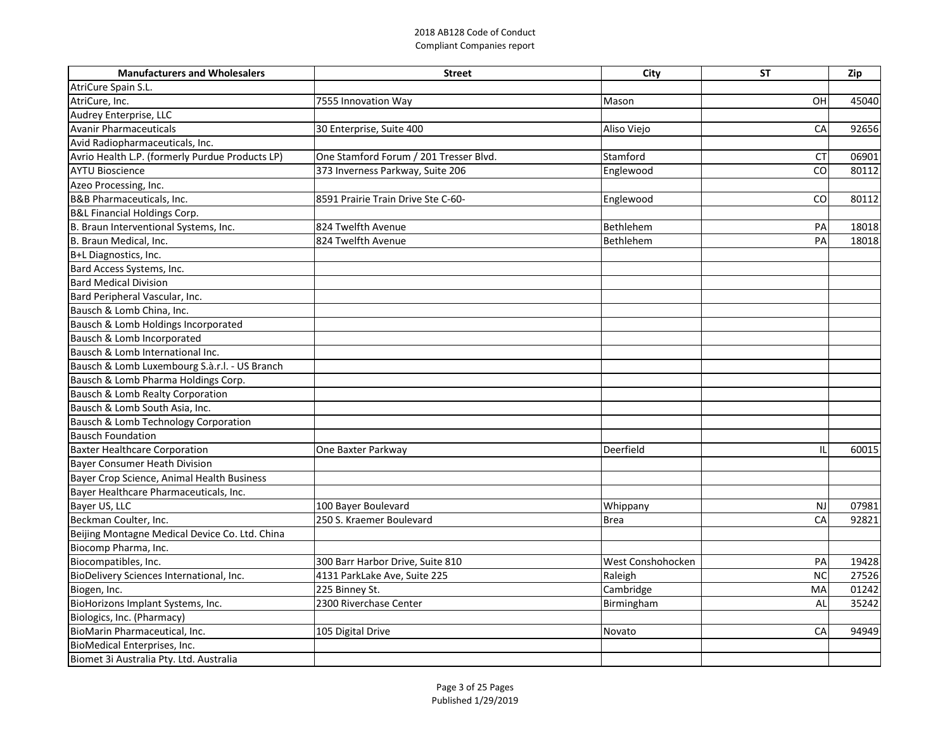| <b>Manufacturers and Wholesalers</b>            | <b>Street</b>                          | City              | <b>ST</b> | Zip   |
|-------------------------------------------------|----------------------------------------|-------------------|-----------|-------|
| AtriCure Spain S.L.                             |                                        |                   |           |       |
| AtriCure, Inc.                                  | 7555 Innovation Way                    | Mason             | OH        | 45040 |
| Audrey Enterprise, LLC                          |                                        |                   |           |       |
| Avanir Pharmaceuticals                          | 30 Enterprise, Suite 400               | Aliso Viejo       | CA        | 92656 |
| Avid Radiopharmaceuticals, Inc.                 |                                        |                   |           |       |
| Avrio Health L.P. (formerly Purdue Products LP) | One Stamford Forum / 201 Tresser Blvd. | Stamford          | <b>CT</b> | 06901 |
| <b>AYTU Bioscience</b>                          | 373 Inverness Parkway, Suite 206       | Englewood         | CO        | 80112 |
| Azeo Processing, Inc.                           |                                        |                   |           |       |
| <b>B&amp;B Pharmaceuticals, Inc.</b>            | 8591 Prairie Train Drive Ste C-60-     | Englewood         | CO        | 80112 |
| <b>B&amp;L Financial Holdings Corp.</b>         |                                        |                   |           |       |
| B. Braun Interventional Systems, Inc.           | 824 Twelfth Avenue                     | Bethlehem         | PA        | 18018 |
| B. Braun Medical, Inc.                          | 824 Twelfth Avenue                     | Bethlehem         | PA        | 18018 |
| B+L Diagnostics, Inc.                           |                                        |                   |           |       |
| Bard Access Systems, Inc.                       |                                        |                   |           |       |
| Bard Medical Division                           |                                        |                   |           |       |
| Bard Peripheral Vascular, Inc.                  |                                        |                   |           |       |
| Bausch & Lomb China, Inc.                       |                                        |                   |           |       |
| Bausch & Lomb Holdings Incorporated             |                                        |                   |           |       |
| Bausch & Lomb Incorporated                      |                                        |                   |           |       |
| Bausch & Lomb International Inc.                |                                        |                   |           |       |
| Bausch & Lomb Luxembourg S.a.r.l. - US Branch   |                                        |                   |           |       |
| Bausch & Lomb Pharma Holdings Corp.             |                                        |                   |           |       |
| Bausch & Lomb Realty Corporation                |                                        |                   |           |       |
| Bausch & Lomb South Asia, Inc.                  |                                        |                   |           |       |
| Bausch & Lomb Technology Corporation            |                                        |                   |           |       |
| <b>Bausch Foundation</b>                        |                                        |                   |           |       |
| <b>Baxter Healthcare Corporation</b>            | One Baxter Parkway                     | Deerfield         |           | 60015 |
| <b>Bayer Consumer Heath Division</b>            |                                        |                   |           |       |
| Bayer Crop Science, Animal Health Business      |                                        |                   |           |       |
| Bayer Healthcare Pharmaceuticals, Inc.          |                                        |                   |           |       |
| Bayer US, LLC                                   | 100 Bayer Boulevard                    | Whippany          | <b>NJ</b> | 07981 |
| Beckman Coulter, Inc.                           | 250 S. Kraemer Boulevard               | <b>Brea</b>       | CA        | 92821 |
| Beijing Montagne Medical Device Co. Ltd. China  |                                        |                   |           |       |
| Biocomp Pharma, Inc.                            |                                        |                   |           |       |
| Biocompatibles, Inc.                            | 300 Barr Harbor Drive, Suite 810       | West Conshohocken | PA        | 19428 |
| BioDelivery Sciences International, Inc.        | 4131 ParkLake Ave, Suite 225           | Raleigh           | <b>NC</b> | 27526 |
| Biogen, Inc.                                    | 225 Binney St.                         | Cambridge         | MA        | 01242 |
| BioHorizons Implant Systems, Inc.               | 2300 Riverchase Center                 | Birmingham        | AL        | 35242 |
| Biologics, Inc. (Pharmacy)                      |                                        |                   |           |       |
| BioMarin Pharmaceutical, Inc.                   | 105 Digital Drive                      | Novato            | CA        | 94949 |
| BioMedical Enterprises, Inc.                    |                                        |                   |           |       |
| Biomet 3i Australia Pty. Ltd. Australia         |                                        |                   |           |       |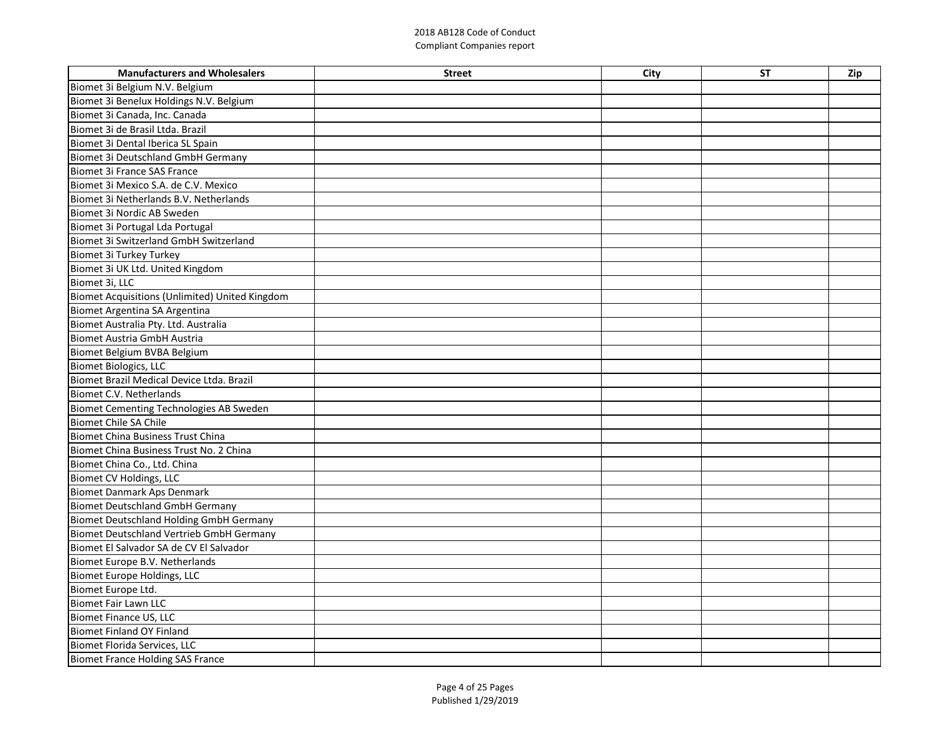| <b>Manufacturers and Wholesalers</b>            | <b>Street</b> | City | <b>ST</b> | Zip |
|-------------------------------------------------|---------------|------|-----------|-----|
| Biomet 3i Belgium N.V. Belgium                  |               |      |           |     |
| Biomet 3i Benelux Holdings N.V. Belgium         |               |      |           |     |
| Biomet 3i Canada, Inc. Canada                   |               |      |           |     |
| Biomet 3i de Brasil Ltda. Brazil                |               |      |           |     |
| Biomet 3i Dental Iberica SL Spain               |               |      |           |     |
| <b>Biomet 3i Deutschland GmbH Germany</b>       |               |      |           |     |
| <b>Biomet 3i France SAS France</b>              |               |      |           |     |
| Biomet 3i Mexico S.A. de C.V. Mexico            |               |      |           |     |
| Biomet 3i Netherlands B.V. Netherlands          |               |      |           |     |
| Biomet 3i Nordic AB Sweden                      |               |      |           |     |
| Biomet 3i Portugal Lda Portugal                 |               |      |           |     |
| <b>Biomet 3i Switzerland GmbH Switzerland</b>   |               |      |           |     |
| Biomet 3i Turkey Turkey                         |               |      |           |     |
| Biomet 3i UK Ltd. United Kingdom                |               |      |           |     |
| Biomet 3i, LLC                                  |               |      |           |     |
| Biomet Acquisitions (Unlimited) United Kingdom  |               |      |           |     |
| Biomet Argentina SA Argentina                   |               |      |           |     |
| Biomet Australia Pty. Ltd. Australia            |               |      |           |     |
| <b>Biomet Austria GmbH Austria</b>              |               |      |           |     |
| Biomet Belgium BVBA Belgium                     |               |      |           |     |
| <b>Biomet Biologics, LLC</b>                    |               |      |           |     |
| Biomet Brazil Medical Device Ltda. Brazil       |               |      |           |     |
| Biomet C.V. Netherlands                         |               |      |           |     |
| Biomet Cementing Technologies AB Sweden         |               |      |           |     |
| <b>Biomet Chile SA Chile</b>                    |               |      |           |     |
| <b>Biomet China Business Trust China</b>        |               |      |           |     |
| Biomet China Business Trust No. 2 China         |               |      |           |     |
| Biomet China Co., Ltd. China                    |               |      |           |     |
| <b>Biomet CV Holdings, LLC</b>                  |               |      |           |     |
| <b>Biomet Danmark Aps Denmark</b>               |               |      |           |     |
| <b>Biomet Deutschland GmbH Germany</b>          |               |      |           |     |
| <b>Biomet Deutschland Holding GmbH Germany</b>  |               |      |           |     |
| <b>Biomet Deutschland Vertrieb GmbH Germany</b> |               |      |           |     |
| Biomet El Salvador SA de CV El Salvador         |               |      |           |     |
| Biomet Europe B.V. Netherlands                  |               |      |           |     |
| <b>Biomet Europe Holdings, LLC</b>              |               |      |           |     |
| Biomet Europe Ltd.                              |               |      |           |     |
| <b>Biomet Fair Lawn LLC</b>                     |               |      |           |     |
| <b>Biomet Finance US, LLC</b>                   |               |      |           |     |
| <b>Biomet Finland OY Finland</b>                |               |      |           |     |
| <b>Biomet Florida Services, LLC</b>             |               |      |           |     |
| <b>Biomet France Holding SAS France</b>         |               |      |           |     |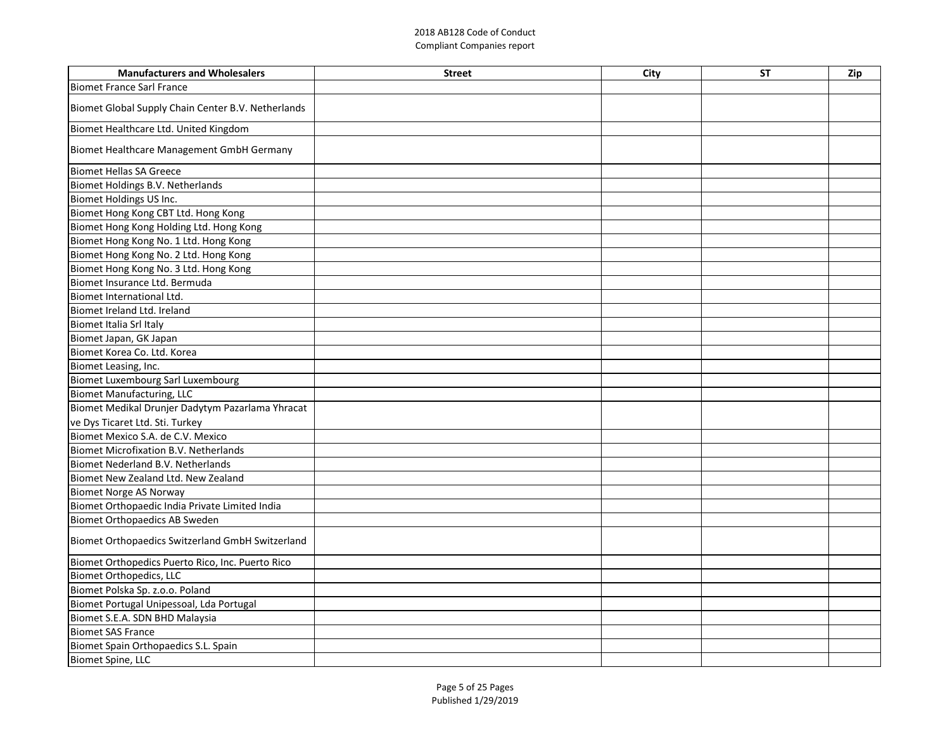| <b>Manufacturers and Wholesalers</b>               | <b>Street</b> | City | <b>ST</b> | Zip |
|----------------------------------------------------|---------------|------|-----------|-----|
| Biomet France Sarl France                          |               |      |           |     |
| Biomet Global Supply Chain Center B.V. Netherlands |               |      |           |     |
| Biomet Healthcare Ltd. United Kingdom              |               |      |           |     |
| Biomet Healthcare Management GmbH Germany          |               |      |           |     |
| Biomet Hellas SA Greece                            |               |      |           |     |
| Biomet Holdings B.V. Netherlands                   |               |      |           |     |
| Biomet Holdings US Inc.                            |               |      |           |     |
| Biomet Hong Kong CBT Ltd. Hong Kong                |               |      |           |     |
| Biomet Hong Kong Holding Ltd. Hong Kong            |               |      |           |     |
| Biomet Hong Kong No. 1 Ltd. Hong Kong              |               |      |           |     |
| Biomet Hong Kong No. 2 Ltd. Hong Kong              |               |      |           |     |
| Biomet Hong Kong No. 3 Ltd. Hong Kong              |               |      |           |     |
| Biomet Insurance Ltd. Bermuda                      |               |      |           |     |
| Biomet International Ltd.                          |               |      |           |     |
| Biomet Ireland Ltd. Ireland                        |               |      |           |     |
| Biomet Italia Srl Italy                            |               |      |           |     |
| Biomet Japan, GK Japan                             |               |      |           |     |
| Biomet Korea Co. Ltd. Korea                        |               |      |           |     |
| Biomet Leasing, Inc.                               |               |      |           |     |
| Biomet Luxembourg Sarl Luxembourg                  |               |      |           |     |
| <b>Biomet Manufacturing, LLC</b>                   |               |      |           |     |
| Biomet Medikal Drunjer Dadytym Pazarlama Yhracat   |               |      |           |     |
| ve Dys Ticaret Ltd. Sti. Turkey                    |               |      |           |     |
| Biomet Mexico S.A. de C.V. Mexico                  |               |      |           |     |
| Biomet Microfixation B.V. Netherlands              |               |      |           |     |
| Biomet Nederland B.V. Netherlands                  |               |      |           |     |
| Biomet New Zealand Ltd. New Zealand                |               |      |           |     |
| Biomet Norge AS Norway                             |               |      |           |     |
| Biomet Orthopaedic India Private Limited India     |               |      |           |     |
| Biomet Orthopaedics AB Sweden                      |               |      |           |     |
| Biomet Orthopaedics Switzerland GmbH Switzerland   |               |      |           |     |
| Biomet Orthopedics Puerto Rico, Inc. Puerto Rico   |               |      |           |     |
| <b>Biomet Orthopedics, LLC</b>                     |               |      |           |     |
| Biomet Polska Sp. z.o.o. Poland                    |               |      |           |     |
| Biomet Portugal Unipessoal, Lda Portugal           |               |      |           |     |
| Biomet S.E.A. SDN BHD Malaysia                     |               |      |           |     |
| <b>Biomet SAS France</b>                           |               |      |           |     |
| Biomet Spain Orthopaedics S.L. Spain               |               |      |           |     |
| <b>Biomet Spine, LLC</b>                           |               |      |           |     |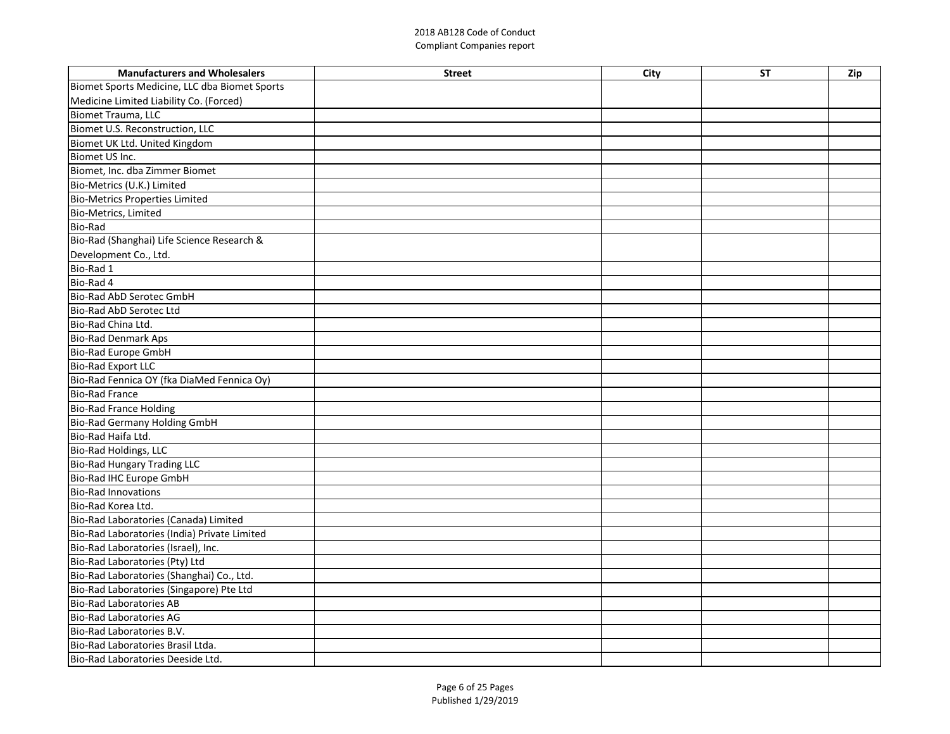| <b>Manufacturers and Wholesalers</b>          | <b>Street</b> | <b>City</b> | <b>ST</b> | Zip |
|-----------------------------------------------|---------------|-------------|-----------|-----|
| Biomet Sports Medicine, LLC dba Biomet Sports |               |             |           |     |
| Medicine Limited Liability Co. (Forced)       |               |             |           |     |
| Biomet Trauma, LLC                            |               |             |           |     |
| Biomet U.S. Reconstruction, LLC               |               |             |           |     |
| Biomet UK Ltd. United Kingdom                 |               |             |           |     |
| Biomet US Inc.                                |               |             |           |     |
| Biomet, Inc. dba Zimmer Biomet                |               |             |           |     |
| Bio-Metrics (U.K.) Limited                    |               |             |           |     |
| <b>Bio-Metrics Properties Limited</b>         |               |             |           |     |
| Bio-Metrics, Limited                          |               |             |           |     |
| <b>Bio-Rad</b>                                |               |             |           |     |
| Bio-Rad (Shanghai) Life Science Research &    |               |             |           |     |
| Development Co., Ltd.                         |               |             |           |     |
| Bio-Rad 1                                     |               |             |           |     |
| Bio-Rad 4                                     |               |             |           |     |
| Bio-Rad AbD Serotec GmbH                      |               |             |           |     |
| Bio-Rad AbD Serotec Ltd                       |               |             |           |     |
| Bio-Rad China Ltd.                            |               |             |           |     |
| Bio-Rad Denmark Aps                           |               |             |           |     |
| Bio-Rad Europe GmbH                           |               |             |           |     |
| Bio-Rad Export LLC                            |               |             |           |     |
| Bio-Rad Fennica OY (fka DiaMed Fennica Oy)    |               |             |           |     |
| <b>Bio-Rad France</b>                         |               |             |           |     |
| <b>Bio-Rad France Holding</b>                 |               |             |           |     |
| <b>Bio-Rad Germany Holding GmbH</b>           |               |             |           |     |
| Bio-Rad Haifa Ltd.                            |               |             |           |     |
| Bio-Rad Holdings, LLC                         |               |             |           |     |
| <b>Bio-Rad Hungary Trading LLC</b>            |               |             |           |     |
| Bio-Rad IHC Europe GmbH                       |               |             |           |     |
| <b>Bio-Rad Innovations</b>                    |               |             |           |     |
| Bio-Rad Korea Ltd.                            |               |             |           |     |
| Bio-Rad Laboratories (Canada) Limited         |               |             |           |     |
| Bio-Rad Laboratories (India) Private Limited  |               |             |           |     |
| Bio-Rad Laboratories (Israel), Inc.           |               |             |           |     |
| Bio-Rad Laboratories (Pty) Ltd                |               |             |           |     |
| Bio-Rad Laboratories (Shanghai) Co., Ltd.     |               |             |           |     |
| Bio-Rad Laboratories (Singapore) Pte Ltd      |               |             |           |     |
| <b>Bio-Rad Laboratories AB</b>                |               |             |           |     |
| <b>Bio-Rad Laboratories AG</b>                |               |             |           |     |
| Bio-Rad Laboratories B.V.                     |               |             |           |     |
| Bio-Rad Laboratories Brasil Ltda.             |               |             |           |     |
| Bio-Rad Laboratories Deeside Ltd.             |               |             |           |     |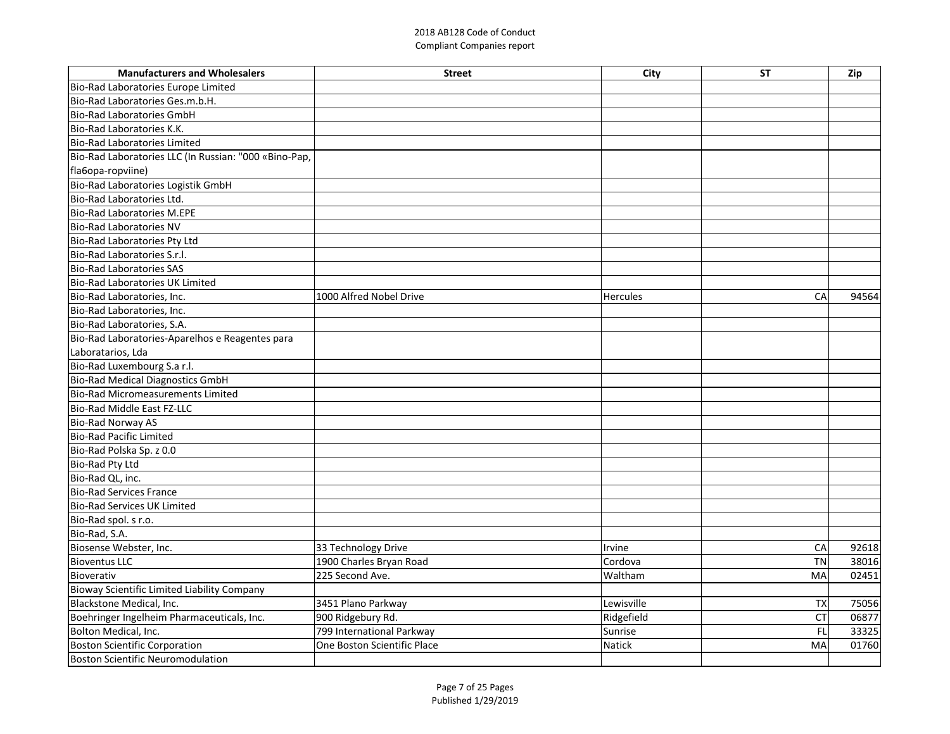| <b>Manufacturers and Wholesalers</b>                  | <b>Street</b>               | <b>City</b>     | <b>ST</b> | Zip   |
|-------------------------------------------------------|-----------------------------|-----------------|-----------|-------|
| Bio-Rad Laboratories Europe Limited                   |                             |                 |           |       |
| Bio-Rad Laboratories Ges.m.b.H.                       |                             |                 |           |       |
| Bio-Rad Laboratories GmbH                             |                             |                 |           |       |
| Bio-Rad Laboratories K.K.                             |                             |                 |           |       |
| Bio-Rad Laboratories Limited                          |                             |                 |           |       |
| Bio-Rad Laboratories LLC (In Russian: "000 «Bino-Pap, |                             |                 |           |       |
| fla6opa-ropviine)                                     |                             |                 |           |       |
| Bio-Rad Laboratories Logistik GmbH                    |                             |                 |           |       |
| Bio-Rad Laboratories Ltd.                             |                             |                 |           |       |
| Bio-Rad Laboratories M.EPE                            |                             |                 |           |       |
| <b>Bio-Rad Laboratories NV</b>                        |                             |                 |           |       |
| Bio-Rad Laboratories Pty Ltd                          |                             |                 |           |       |
| Bio-Rad Laboratories S.r.l.                           |                             |                 |           |       |
| Bio-Rad Laboratories SAS                              |                             |                 |           |       |
| <b>Bio-Rad Laboratories UK Limited</b>                |                             |                 |           |       |
| Bio-Rad Laboratories, Inc.                            | 1000 Alfred Nobel Drive     | <b>Hercules</b> | <b>CA</b> | 94564 |
| Bio-Rad Laboratories, Inc.                            |                             |                 |           |       |
| Bio-Rad Laboratories, S.A.                            |                             |                 |           |       |
| Bio-Rad Laboratories-Aparelhos e Reagentes para       |                             |                 |           |       |
| Laboratarios, Lda                                     |                             |                 |           |       |
| Bio-Rad Luxembourg S.a r.l.                           |                             |                 |           |       |
| <b>Bio-Rad Medical Diagnostics GmbH</b>               |                             |                 |           |       |
| Bio-Rad Micromeasurements Limited                     |                             |                 |           |       |
| Bio-Rad Middle East FZ-LLC                            |                             |                 |           |       |
| <b>Bio-Rad Norway AS</b>                              |                             |                 |           |       |
| <b>Bio-Rad Pacific Limited</b>                        |                             |                 |           |       |
| Bio-Rad Polska Sp. z 0.0                              |                             |                 |           |       |
| Bio-Rad Pty Ltd                                       |                             |                 |           |       |
| Bio-Rad QL, inc.                                      |                             |                 |           |       |
| <b>Bio-Rad Services France</b>                        |                             |                 |           |       |
| Bio-Rad Services UK Limited                           |                             |                 |           |       |
| Bio-Rad spol. s r.o.                                  |                             |                 |           |       |
| Bio-Rad, S.A.                                         |                             |                 |           |       |
| Biosense Webster, Inc.                                | 33 Technology Drive         | Irvine          | CA        | 92618 |
| <b>Bioventus LLC</b>                                  | 1900 Charles Bryan Road     | Cordova         | <b>TN</b> | 38016 |
| Bioverativ                                            | 225 Second Ave.             | Waltham         | <b>MA</b> | 02451 |
| Bioway Scientific Limited Liability Company           |                             |                 |           |       |
| Blackstone Medical, Inc.                              | 3451 Plano Parkway          | Lewisville      | <b>TX</b> | 75056 |
| Boehringer Ingelheim Pharmaceuticals, Inc.            | 900 Ridgebury Rd.           | Ridgefield      | <b>CT</b> | 06877 |
| Bolton Medical, Inc.                                  | 799 International Parkway   | Sunrise         | FL        | 33325 |
| Boston Scientific Corporation                         | One Boston Scientific Place | Natick          | <b>MA</b> | 01760 |
| Boston Scientific Neuromodulation                     |                             |                 |           |       |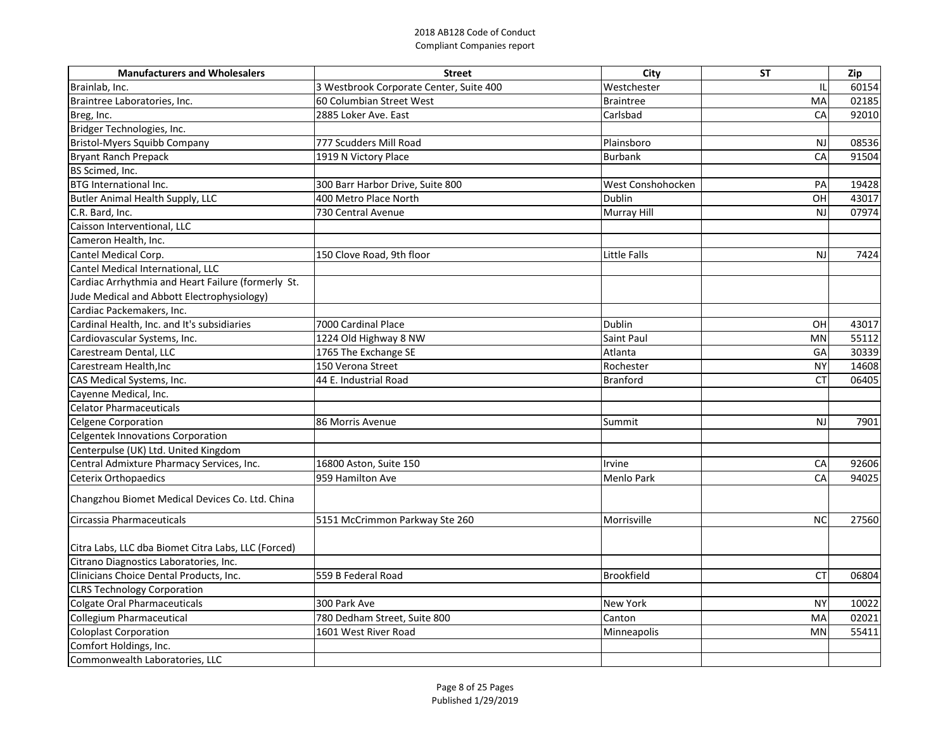| <b>Manufacturers and Wholesalers</b>                | <b>Street</b>                           | City              | <b>ST</b> | Zip   |
|-----------------------------------------------------|-----------------------------------------|-------------------|-----------|-------|
| Brainlab, Inc.                                      | 3 Westbrook Corporate Center, Suite 400 | Westchester       |           | 60154 |
| Braintree Laboratories, Inc.                        | 60 Columbian Street West                | <b>Braintree</b>  | MA        | 02185 |
| Breg, Inc.                                          | 2885 Loker Ave. East                    | Carlsbad          | CA        | 92010 |
| Bridger Technologies, Inc.                          |                                         |                   |           |       |
| Bristol-Myers Squibb Company                        | 777 Scudders Mill Road                  | Plainsboro        | <b>NJ</b> | 08536 |
| Bryant Ranch Prepack                                | 1919 N Victory Place                    | <b>Burbank</b>    | CA        | 91504 |
| BS Scimed, Inc.                                     |                                         |                   |           |       |
| <b>BTG</b> International Inc.                       | 300 Barr Harbor Drive, Suite 800        | West Conshohocken | PA        | 19428 |
| <b>Butler Animal Health Supply, LLC</b>             | 400 Metro Place North                   | <b>Dublin</b>     | OH        | 43017 |
| C.R. Bard, Inc.                                     | 730 Central Avenue                      | Murray Hill       | <b>NJ</b> | 07974 |
| Caisson Interventional, LLC                         |                                         |                   |           |       |
| Cameron Health, Inc.                                |                                         |                   |           |       |
| Cantel Medical Corp.                                | 150 Clove Road, 9th floor               | Little Falls      | NJ        | 7424  |
| Cantel Medical International, LLC                   |                                         |                   |           |       |
| Cardiac Arrhythmia and Heart Failure (formerly St.  |                                         |                   |           |       |
| Jude Medical and Abbott Electrophysiology)          |                                         |                   |           |       |
| Cardiac Packemakers, Inc.                           |                                         |                   |           |       |
| Cardinal Health, Inc. and It's subsidiaries         | 7000 Cardinal Place                     | <b>Dublin</b>     | OH        | 43017 |
| Cardiovascular Systems, Inc.                        | 1224 Old Highway 8 NW                   | Saint Paul        | <b>MN</b> | 55112 |
| Carestream Dental, LLC                              | 1765 The Exchange SE                    | Atlanta           | GA        | 30339 |
| Carestream Health, Inc                              | 150 Verona Street                       | Rochester         | <b>NY</b> | 14608 |
| CAS Medical Systems, Inc.                           | 44 E. Industrial Road                   | <b>Branford</b>   | СT        | 06405 |
| Cayenne Medical, Inc.                               |                                         |                   |           |       |
| <b>Celator Pharmaceuticals</b>                      |                                         |                   |           |       |
| Celgene Corporation                                 | 86 Morris Avenue                        | Summit            | NJ        | 7901  |
| Celgentek Innovations Corporation                   |                                         |                   |           |       |
| Centerpulse (UK) Ltd. United Kingdom                |                                         |                   |           |       |
| Central Admixture Pharmacy Services, Inc.           | 16800 Aston, Suite 150                  | Irvine            | CA        | 92606 |
| Ceterix Orthopaedics                                | 959 Hamilton Ave                        | Menlo Park        | CA        | 94025 |
| Changzhou Biomet Medical Devices Co. Ltd. China     |                                         |                   |           |       |
| Circassia Pharmaceuticals                           | 5151 McCrimmon Parkway Ste 260          | Morrisville       | <b>NC</b> | 27560 |
|                                                     |                                         |                   |           |       |
| Citra Labs, LLC dba Biomet Citra Labs, LLC (Forced) |                                         |                   |           |       |
| Citrano Diagnostics Laboratories, Inc.              |                                         |                   |           |       |
| Clinicians Choice Dental Products, Inc.             | 559 B Federal Road                      | <b>Brookfield</b> | <b>CT</b> | 06804 |
| <b>CLRS Technology Corporation</b>                  |                                         |                   |           |       |
| Colgate Oral Pharmaceuticals                        | 300 Park Ave                            | <b>New York</b>   | <b>NY</b> | 10022 |
| Collegium Pharmaceutical                            | 780 Dedham Street, Suite 800            | Canton            | MA        | 02021 |
| Coloplast Corporation                               | 1601 West River Road                    | Minneapolis       | <b>MN</b> | 55411 |
| Comfort Holdings, Inc.                              |                                         |                   |           |       |
| Commonwealth Laboratories, LLC                      |                                         |                   |           |       |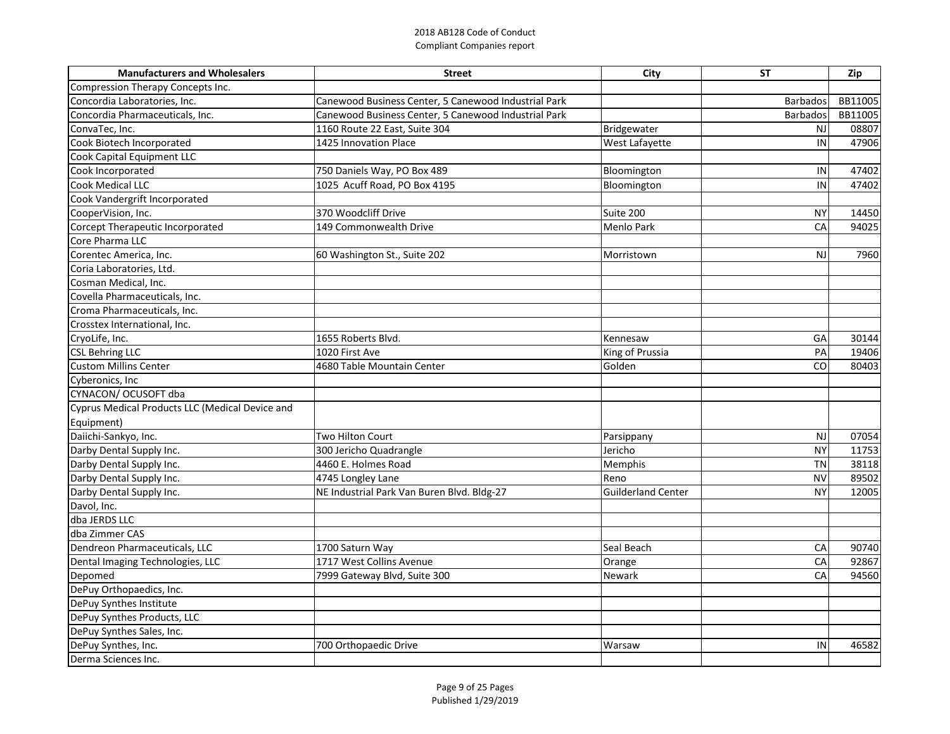| <b>Manufacturers and Wholesalers</b>            | <b>Street</b>                                        | City                      | <b>ST</b>       | Zip     |
|-------------------------------------------------|------------------------------------------------------|---------------------------|-----------------|---------|
| Compression Therapy Concepts Inc.               |                                                      |                           |                 |         |
| Concordia Laboratories, Inc.                    | Canewood Business Center, 5 Canewood Industrial Park |                           | <b>Barbados</b> | BB11005 |
| Concordia Pharmaceuticals, Inc.                 | Canewood Business Center, 5 Canewood Industrial Park |                           | <b>Barbados</b> | BB11005 |
| ConvaTec, Inc.                                  | 1160 Route 22 East, Suite 304                        | Bridgewater               | <b>NJ</b>       | 08807   |
| Cook Biotech Incorporated                       | 1425 Innovation Place                                | West Lafayette            | IN              | 47906   |
| Cook Capital Equipment LLC                      |                                                      |                           |                 |         |
| Cook Incorporated                               | 750 Daniels Way, PO Box 489                          | Bloomington               | IN              | 47402   |
| <b>Cook Medical LLC</b>                         | 1025 Acuff Road, PO Box 4195                         | Bloomington               | IN              | 47402   |
| Cook Vandergrift Incorporated                   |                                                      |                           |                 |         |
| CooperVision, Inc.                              | 370 Woodcliff Drive                                  | Suite 200                 | <b>NY</b>       | 14450   |
| Corcept Therapeutic Incorporated                | 149 Commonwealth Drive                               | <b>Menlo Park</b>         | CA              | 94025   |
| Core Pharma LLC                                 |                                                      |                           |                 |         |
| Corentec America, Inc.                          | 60 Washington St., Suite 202                         | Morristown                | NJ              | 7960    |
| Coria Laboratories, Ltd.                        |                                                      |                           |                 |         |
| Cosman Medical, Inc.                            |                                                      |                           |                 |         |
| Covella Pharmaceuticals, Inc.                   |                                                      |                           |                 |         |
| Croma Pharmaceuticals, Inc.                     |                                                      |                           |                 |         |
| Crosstex International, Inc.                    |                                                      |                           |                 |         |
| CryoLife, Inc.                                  | 1655 Roberts Blvd.                                   | Kennesaw                  | GA              | 30144   |
| <b>CSL Behring LLC</b>                          | 1020 First Ave                                       | King of Prussia           | PA              | 19406   |
| <b>Custom Millins Center</b>                    | 4680 Table Mountain Center                           | Golden                    | CO              | 80403   |
| Cyberonics, Inc.                                |                                                      |                           |                 |         |
| CYNACON/ OCUSOFT dba                            |                                                      |                           |                 |         |
| Cyprus Medical Products LLC (Medical Device and |                                                      |                           |                 |         |
| Equipment)                                      |                                                      |                           |                 |         |
| Daiichi-Sankyo, Inc.                            | <b>Two Hilton Court</b>                              | Parsippany                | <b>NJ</b>       | 07054   |
| Darby Dental Supply Inc.                        | 300 Jericho Quadrangle                               | Jericho                   | <b>NY</b>       | 11753   |
| Darby Dental Supply Inc.                        | 4460 E. Holmes Road                                  | Memphis                   | <b>TN</b>       | 38118   |
| Darby Dental Supply Inc.                        | 4745 Longley Lane                                    | Reno                      | <b>NV</b>       | 89502   |
| Darby Dental Supply Inc.                        | NE Industrial Park Van Buren Blvd. Bldg-27           | <b>Guilderland Center</b> | <b>NY</b>       | 12005   |
| Davol, Inc.                                     |                                                      |                           |                 |         |
| dba JERDS LLC                                   |                                                      |                           |                 |         |
| dba Zimmer CAS                                  |                                                      |                           |                 |         |
| Dendreon Pharmaceuticals, LLC                   | 1700 Saturn Way                                      | Seal Beach                | CA              | 90740   |
| Dental Imaging Technologies, LLC                | 1717 West Collins Avenue                             | Orange                    | CA              | 92867   |
| Depomed                                         | 7999 Gateway Blvd, Suite 300                         | <b>Newark</b>             | CA              | 94560   |
| DePuy Orthopaedics, Inc.                        |                                                      |                           |                 |         |
| DePuy Synthes Institute                         |                                                      |                           |                 |         |
| DePuy Synthes Products, LLC                     |                                                      |                           |                 |         |
| DePuy Synthes Sales, Inc.                       |                                                      |                           |                 |         |
| DePuy Synthes, Inc.                             | 700 Orthopaedic Drive                                | Warsaw                    | IN              | 46582   |
| Derma Sciences Inc.                             |                                                      |                           |                 |         |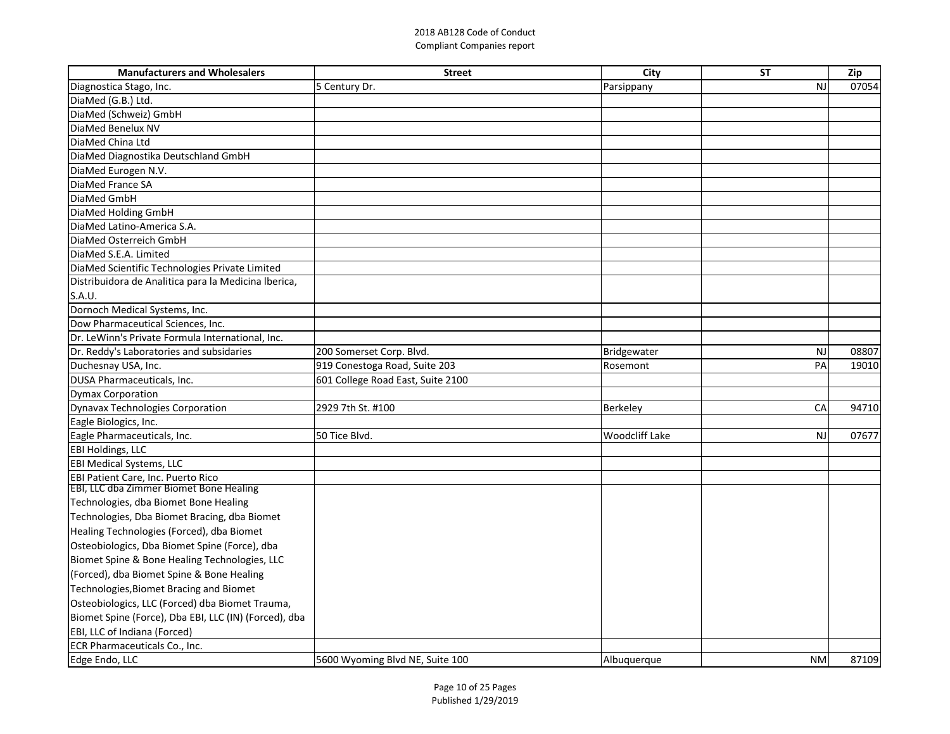| <b>Manufacturers and Wholesalers</b>                  | <b>Street</b>                     | <b>City</b>           | <b>ST</b> | Zip   |
|-------------------------------------------------------|-----------------------------------|-----------------------|-----------|-------|
| Diagnostica Stago, Inc.                               | 5 Century Dr.                     | Parsippany            | NJ        | 07054 |
| DiaMed (G.B.) Ltd.                                    |                                   |                       |           |       |
| DiaMed (Schweiz) GmbH                                 |                                   |                       |           |       |
| DiaMed Benelux NV                                     |                                   |                       |           |       |
| DiaMed China Ltd                                      |                                   |                       |           |       |
| DiaMed Diagnostika Deutschland GmbH                   |                                   |                       |           |       |
| DiaMed Eurogen N.V.                                   |                                   |                       |           |       |
| DiaMed France SA                                      |                                   |                       |           |       |
| DiaMed GmbH                                           |                                   |                       |           |       |
| DiaMed Holding GmbH                                   |                                   |                       |           |       |
| DiaMed Latino-America S.A.                            |                                   |                       |           |       |
| DiaMed Osterreich GmbH                                |                                   |                       |           |       |
| DiaMed S.E.A. Limited                                 |                                   |                       |           |       |
| DiaMed Scientific Technologies Private Limited        |                                   |                       |           |       |
| Distribuidora de Analitica para la Medicina Iberica,  |                                   |                       |           |       |
| S.A.U.                                                |                                   |                       |           |       |
| Dornoch Medical Systems, Inc.                         |                                   |                       |           |       |
| Dow Pharmaceutical Sciences, Inc.                     |                                   |                       |           |       |
| Dr. LeWinn's Private Formula International, Inc.      |                                   |                       |           |       |
| Dr. Reddy's Laboratories and subsidaries              | 200 Somerset Corp. Blvd.          | Bridgewater           | NJ        | 08807 |
| Duchesnay USA, Inc.                                   | 919 Conestoga Road, Suite 203     | Rosemont              | PA        | 19010 |
| DUSA Pharmaceuticals, Inc.                            | 601 College Road East, Suite 2100 |                       |           |       |
| <b>Dymax Corporation</b>                              |                                   |                       |           |       |
| Dynavax Technologies Corporation                      | 2929 7th St. #100                 | Berkeley              | <b>CA</b> | 94710 |
| Eagle Biologics, Inc.                                 |                                   |                       |           |       |
| Eagle Pharmaceuticals, Inc.                           | 50 Tice Blvd.                     | <b>Woodcliff Lake</b> | <b>NJ</b> | 07677 |
| <b>EBI Holdings, LLC</b>                              |                                   |                       |           |       |
| <b>EBI Medical Systems, LLC</b>                       |                                   |                       |           |       |
| <b>EBI Patient Care, Inc. Puerto Rico</b>             |                                   |                       |           |       |
| <b>EBI, LLC dba Zimmer Biomet Bone Healing</b>        |                                   |                       |           |       |
| Technologies, dba Biomet Bone Healing                 |                                   |                       |           |       |
| Technologies, Dba Biomet Bracing, dba Biomet          |                                   |                       |           |       |
| Healing Technologies (Forced), dba Biomet             |                                   |                       |           |       |
| Osteobiologics, Dba Biomet Spine (Force), dba         |                                   |                       |           |       |
| Biomet Spine & Bone Healing Technologies, LLC         |                                   |                       |           |       |
| (Forced), dba Biomet Spine & Bone Healing             |                                   |                       |           |       |
| Technologies, Biomet Bracing and Biomet               |                                   |                       |           |       |
| Osteobiologics, LLC (Forced) dba Biomet Trauma,       |                                   |                       |           |       |
| Biomet Spine (Force), Dba EBI, LLC (IN) (Forced), dba |                                   |                       |           |       |
| <b>EBI, LLC of Indiana (Forced)</b>                   |                                   |                       |           |       |
| ECR Pharmaceuticals Co., Inc.                         |                                   |                       |           |       |
| Edge Endo, LLC                                        | 5600 Wyoming Blvd NE, Suite 100   | Albuquerque           | <b>NM</b> | 87109 |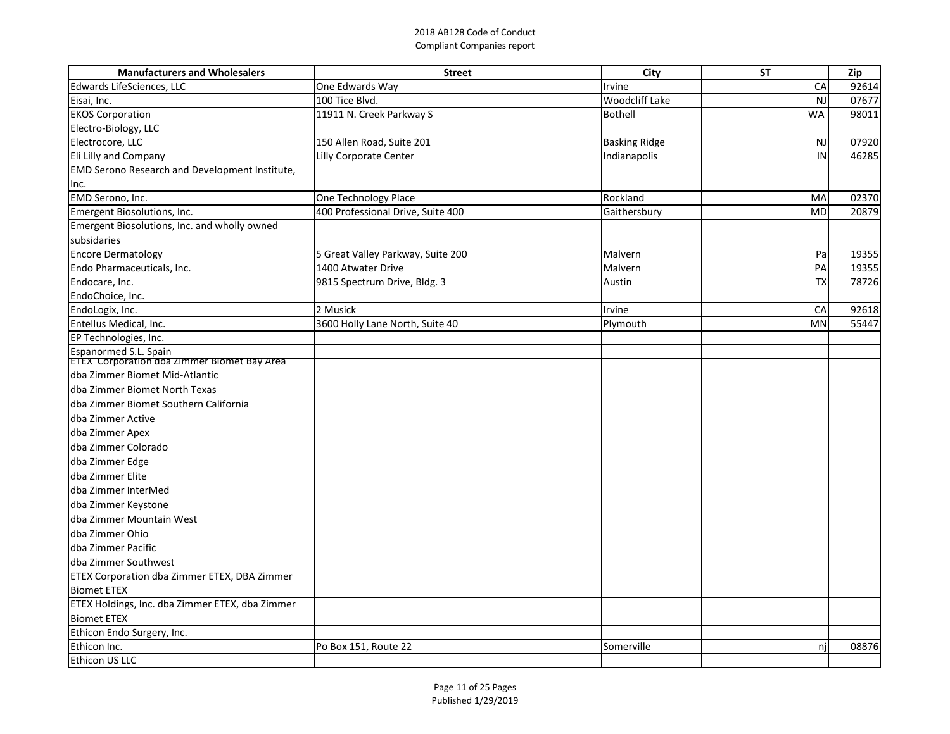| <b>Manufacturers and Wholesalers</b>                                  | <b>Street</b>                     | City                 | <b>ST</b> | Zip   |
|-----------------------------------------------------------------------|-----------------------------------|----------------------|-----------|-------|
| Edwards LifeSciences, LLC                                             | One Edwards Way                   | Irvine               | CA        | 92614 |
| Eisai, Inc.                                                           | 100 Tice Blvd.                    | Woodcliff Lake       | <b>NJ</b> | 07677 |
| <b>EKOS Corporation</b>                                               | 11911 N. Creek Parkway S          | Bothell              | <b>WA</b> | 98011 |
| Electro-Biology, LLC                                                  |                                   |                      |           |       |
| Electrocore, LLC                                                      | 150 Allen Road, Suite 201         | <b>Basking Ridge</b> | <b>NJ</b> | 07920 |
| Eli Lilly and Company                                                 | Lilly Corporate Center            | Indianapolis         | IN        | 46285 |
| <b>EMD Serono Research and Development Institute,</b>                 |                                   |                      |           |       |
| Inc.                                                                  |                                   |                      |           |       |
| EMD Serono, Inc.                                                      | One Technology Place              | Rockland             | MA        | 02370 |
| Emergent Biosolutions, Inc.                                           | 400 Professional Drive, Suite 400 | Gaithersbury         | <b>MD</b> | 20879 |
| Emergent Biosolutions, Inc. and wholly owned                          |                                   |                      |           |       |
| subsidaries                                                           |                                   |                      |           |       |
| <b>Encore Dermatology</b>                                             | 5 Great Valley Parkway, Suite 200 | Malvern              | Pa        | 19355 |
| Endo Pharmaceuticals, Inc.                                            | 1400 Atwater Drive                | Malvern              | PA        | 19355 |
| Endocare, Inc.                                                        | 9815 Spectrum Drive, Bldg. 3      | Austin               | <b>TX</b> | 78726 |
| EndoChoice, Inc.                                                      |                                   |                      |           |       |
| EndoLogix, Inc.                                                       | 2 Musick                          | Irvine               | CA        | 92618 |
| Entellus Medical, Inc.                                                | 3600 Holly Lane North, Suite 40   | Plymouth             | <b>MN</b> | 55447 |
| EP Technologies, Inc.                                                 |                                   |                      |           |       |
| Espanormed S.L. Spain<br> ETEX_Corporation dba Zimmer Biomet Bay Area |                                   |                      |           |       |
| dba Zimmer Biomet Mid-Atlantic                                        |                                   |                      |           |       |
| dba Zimmer Biomet North Texas                                         |                                   |                      |           |       |
| dba Zimmer Biomet Southern California                                 |                                   |                      |           |       |
| dba Zimmer Active                                                     |                                   |                      |           |       |
| dba Zimmer Apex                                                       |                                   |                      |           |       |
| dba Zimmer Colorado                                                   |                                   |                      |           |       |
| dba Zimmer Edge                                                       |                                   |                      |           |       |
| dba Zimmer Elite                                                      |                                   |                      |           |       |
| dba Zimmer InterMed                                                   |                                   |                      |           |       |
| dba Zimmer Keystone                                                   |                                   |                      |           |       |
| dba Zimmer Mountain West                                              |                                   |                      |           |       |
| dba Zimmer Ohio                                                       |                                   |                      |           |       |
| dba Zimmer Pacific                                                    |                                   |                      |           |       |
| dba Zimmer Southwest                                                  |                                   |                      |           |       |
| <b>ETEX Corporation dba Zimmer ETEX, DBA Zimmer</b>                   |                                   |                      |           |       |
| <b>Biomet ETEX</b>                                                    |                                   |                      |           |       |
| ETEX Holdings, Inc. dba Zimmer ETEX, dba Zimmer                       |                                   |                      |           |       |
| <b>Biomet ETEX</b>                                                    |                                   |                      |           |       |
| Ethicon Endo Surgery, Inc.                                            |                                   |                      |           |       |
| Ethicon Inc.                                                          | Po Box 151, Route 22              | Somerville           | njl       | 08876 |
| Ethicon US LLC                                                        |                                   |                      |           |       |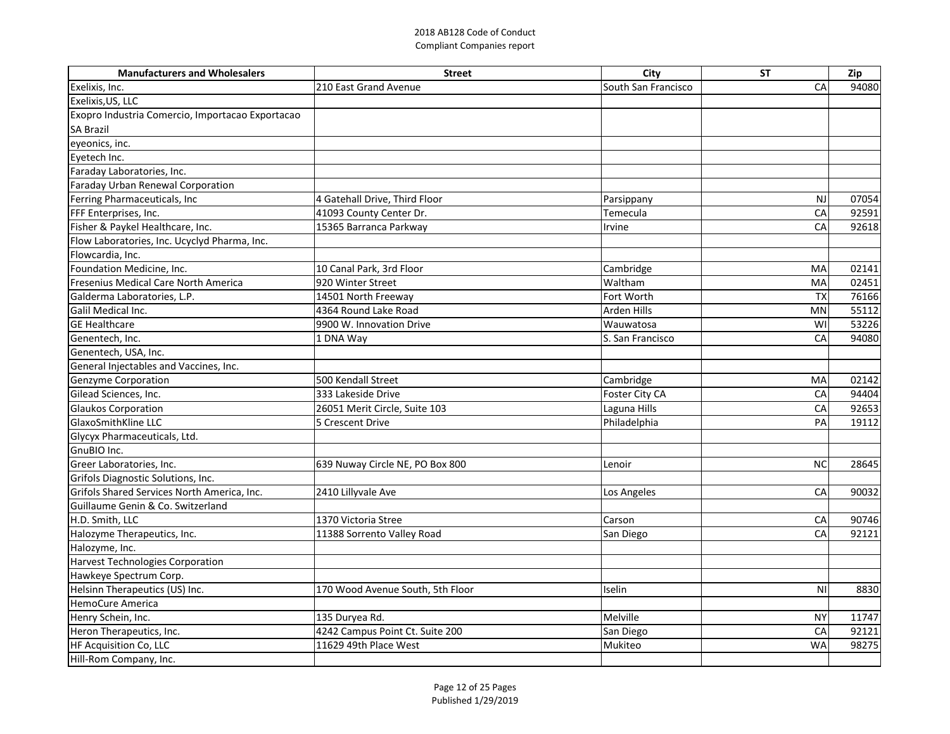| <b>Manufacturers and Wholesalers</b>             | <b>Street</b>                    | City                | <b>ST</b> | Zip   |
|--------------------------------------------------|----------------------------------|---------------------|-----------|-------|
| Exelixis, Inc.                                   | 210 East Grand Avenue            | South San Francisco | CA        | 94080 |
| Exelixis, US, LLC                                |                                  |                     |           |       |
| Exopro Industria Comercio, Importacao Exportacao |                                  |                     |           |       |
| <b>SA Brazil</b>                                 |                                  |                     |           |       |
| eyeonics, inc.                                   |                                  |                     |           |       |
| Eyetech Inc.                                     |                                  |                     |           |       |
| Faraday Laboratories, Inc.                       |                                  |                     |           |       |
| Faraday Urban Renewal Corporation                |                                  |                     |           |       |
| Ferring Pharmaceuticals, Inc                     | 4 Gatehall Drive, Third Floor    | Parsippany          | <b>NJ</b> | 07054 |
| FFF Enterprises, Inc.                            | 41093 County Center Dr.          | Temecula            | CA        | 92591 |
| Fisher & Paykel Healthcare, Inc.                 | 15365 Barranca Parkway           | Irvine              | CA        | 92618 |
| Flow Laboratories, Inc. Ucyclyd Pharma, Inc.     |                                  |                     |           |       |
| Flowcardia, Inc.                                 |                                  |                     |           |       |
| Foundation Medicine, Inc.                        | 10 Canal Park, 3rd Floor         | Cambridge           | MA        | 02141 |
| Fresenius Medical Care North America             | 920 Winter Street                | Waltham             | MA        | 02451 |
| Galderma Laboratories, L.P.                      | 14501 North Freeway              | Fort Worth          | <b>TX</b> | 76166 |
| Galil Medical Inc.                               | 4364 Round Lake Road             | Arden Hills         | <b>MN</b> | 55112 |
| <b>GE Healthcare</b>                             | 9900 W. Innovation Drive         | Wauwatosa           | WI        | 53226 |
| Genentech, Inc.                                  | 1 DNA Way                        | S. San Francisco    | CA        | 94080 |
| Genentech, USA, Inc.                             |                                  |                     |           |       |
| General Injectables and Vaccines, Inc.           |                                  |                     |           |       |
| <b>Genzyme Corporation</b>                       | 500 Kendall Street               | Cambridge           | MA        | 02142 |
| Gilead Sciences, Inc.                            | 333 Lakeside Drive               | Foster City CA      | CA        | 94404 |
| <b>Glaukos Corporation</b>                       | 26051 Merit Circle, Suite 103    | Laguna Hills        | CA        | 92653 |
| <b>GlaxoSmithKline LLC</b>                       | 5 Crescent Drive                 | Philadelphia        | PA        | 19112 |
| Glycyx Pharmaceuticals, Ltd.                     |                                  |                     |           |       |
| GnuBIO Inc.                                      |                                  |                     |           |       |
| Greer Laboratories, Inc.                         | 639 Nuway Circle NE, PO Box 800  | Lenoir              | <b>NC</b> | 28645 |
| Grifols Diagnostic Solutions, Inc.               |                                  |                     |           |       |
| Grifols Shared Services North America, Inc.      | 2410 Lillyvale Ave               | Los Angeles         | CA        | 90032 |
| Guillaume Genin & Co. Switzerland                |                                  |                     |           |       |
| H.D. Smith, LLC                                  | 1370 Victoria Stree              | Carson              | CA        | 90746 |
| Halozyme Therapeutics, Inc.                      | 11388 Sorrento Valley Road       | San Diego           | CA        | 92121 |
| Halozyme, Inc.                                   |                                  |                     |           |       |
| <b>Harvest Technologies Corporation</b>          |                                  |                     |           |       |
| Hawkeye Spectrum Corp.                           |                                  |                     |           |       |
| Helsinn Therapeutics (US) Inc.                   | 170 Wood Avenue South, 5th Floor | Iselin              | <b>NI</b> | 8830  |
| <b>HemoCure America</b>                          |                                  |                     |           |       |
| Henry Schein, Inc.                               | 135 Duryea Rd.                   | Melville            | <b>NY</b> | 11747 |
| Heron Therapeutics, Inc.                         | 4242 Campus Point Ct. Suite 200  | San Diego           | CA        | 92121 |
| <b>HF Acquisition Co, LLC</b>                    | 11629 49th Place West            | Mukiteo             | <b>WA</b> | 98275 |
| Hill-Rom Company, Inc.                           |                                  |                     |           |       |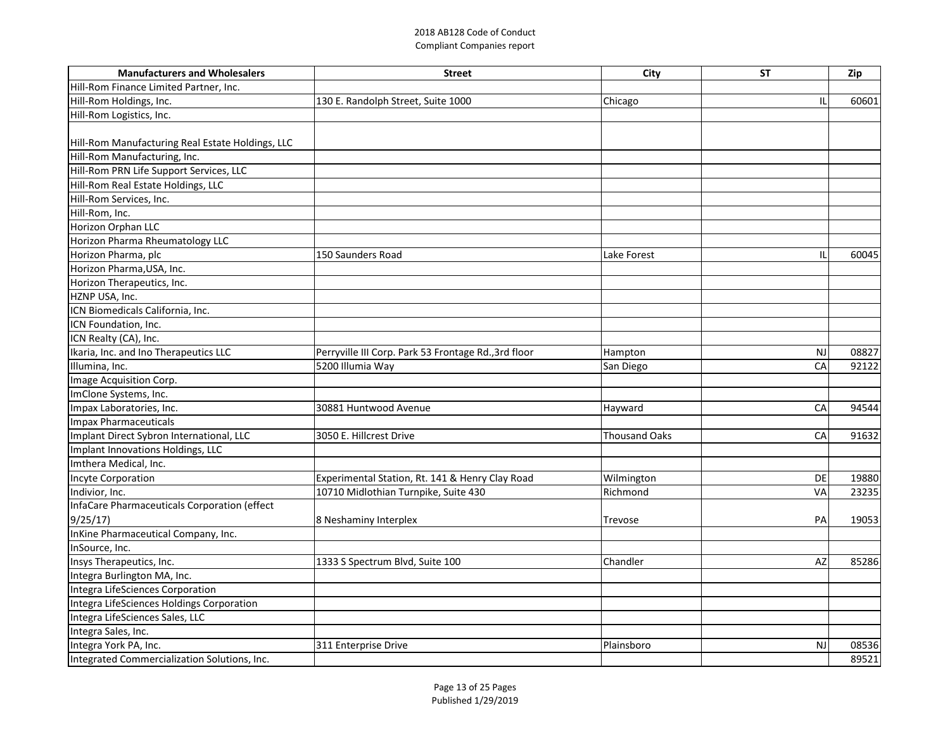| <b>Manufacturers and Wholesalers</b>             | <b>Street</b>                                        | City                 | <b>ST</b> | Zip   |
|--------------------------------------------------|------------------------------------------------------|----------------------|-----------|-------|
| Hill-Rom Finance Limited Partner, Inc.           |                                                      |                      |           |       |
| Hill-Rom Holdings, Inc.                          | 130 E. Randolph Street, Suite 1000                   | Chicago              | ΙL        | 60601 |
| Hill-Rom Logistics, Inc.                         |                                                      |                      |           |       |
|                                                  |                                                      |                      |           |       |
| Hill-Rom Manufacturing Real Estate Holdings, LLC |                                                      |                      |           |       |
| Hill-Rom Manufacturing, Inc.                     |                                                      |                      |           |       |
| Hill-Rom PRN Life Support Services, LLC          |                                                      |                      |           |       |
| Hill-Rom Real Estate Holdings, LLC               |                                                      |                      |           |       |
| Hill-Rom Services, Inc.                          |                                                      |                      |           |       |
| Hill-Rom, Inc.                                   |                                                      |                      |           |       |
| Horizon Orphan LLC                               |                                                      |                      |           |       |
| Horizon Pharma Rheumatology LLC                  |                                                      |                      |           |       |
| Horizon Pharma, plc                              | 150 Saunders Road                                    | Lake Forest          | ΙL        | 60045 |
| Horizon Pharma, USA, Inc.                        |                                                      |                      |           |       |
| Horizon Therapeutics, Inc.                       |                                                      |                      |           |       |
| HZNP USA, Inc.                                   |                                                      |                      |           |       |
| ICN Biomedicals California, Inc.                 |                                                      |                      |           |       |
| ICN Foundation, Inc.                             |                                                      |                      |           |       |
| ICN Realty (CA), Inc.                            |                                                      |                      |           |       |
| Ikaria, Inc. and Ino Therapeutics LLC            | Perryville III Corp. Park 53 Frontage Rd., 3rd floor | Hampton              | <b>NJ</b> | 08827 |
| Illumina, Inc.                                   | 5200 Illumia Way                                     | San Diego            | CA        | 92122 |
| Image Acquisition Corp.                          |                                                      |                      |           |       |
| ImClone Systems, Inc.                            |                                                      |                      |           |       |
| Impax Laboratories, Inc.                         | 30881 Huntwood Avenue                                | Hayward              | CA        | 94544 |
| Impax Pharmaceuticals                            |                                                      |                      |           |       |
| Implant Direct Sybron International, LLC         | 3050 E. Hillcrest Drive                              | <b>Thousand Oaks</b> | CA        | 91632 |
| Implant Innovations Holdings, LLC                |                                                      |                      |           |       |
| Imthera Medical, Inc.                            |                                                      |                      |           |       |
| Incyte Corporation                               | Experimental Station, Rt. 141 & Henry Clay Road      | Wilmington           | DE        | 19880 |
| Indivior, Inc.                                   | 10710 Midlothian Turnpike, Suite 430                 | Richmond             | <b>VA</b> | 23235 |
| InfaCare Pharmaceuticals Corporation (effect     |                                                      |                      |           |       |
| 9/25/17                                          | 8 Neshaminy Interplex                                | Trevose              | PA        | 19053 |
| InKine Pharmaceutical Company, Inc.              |                                                      |                      |           |       |
| InSource, Inc.                                   |                                                      |                      |           |       |
| Insys Therapeutics, Inc.                         | 1333 S Spectrum Blvd, Suite 100                      | Chandler             | AZ        | 85286 |
| Integra Burlington MA, Inc.                      |                                                      |                      |           |       |
| Integra LifeSciences Corporation                 |                                                      |                      |           |       |
| Integra LifeSciences Holdings Corporation        |                                                      |                      |           |       |
| Integra LifeSciences Sales, LLC                  |                                                      |                      |           |       |
| Integra Sales, Inc.                              |                                                      |                      |           |       |
| Integra York PA, Inc.                            | 311 Enterprise Drive                                 | Plainsboro           | NJ        | 08536 |
| Integrated Commercialization Solutions, Inc.     |                                                      |                      |           | 89521 |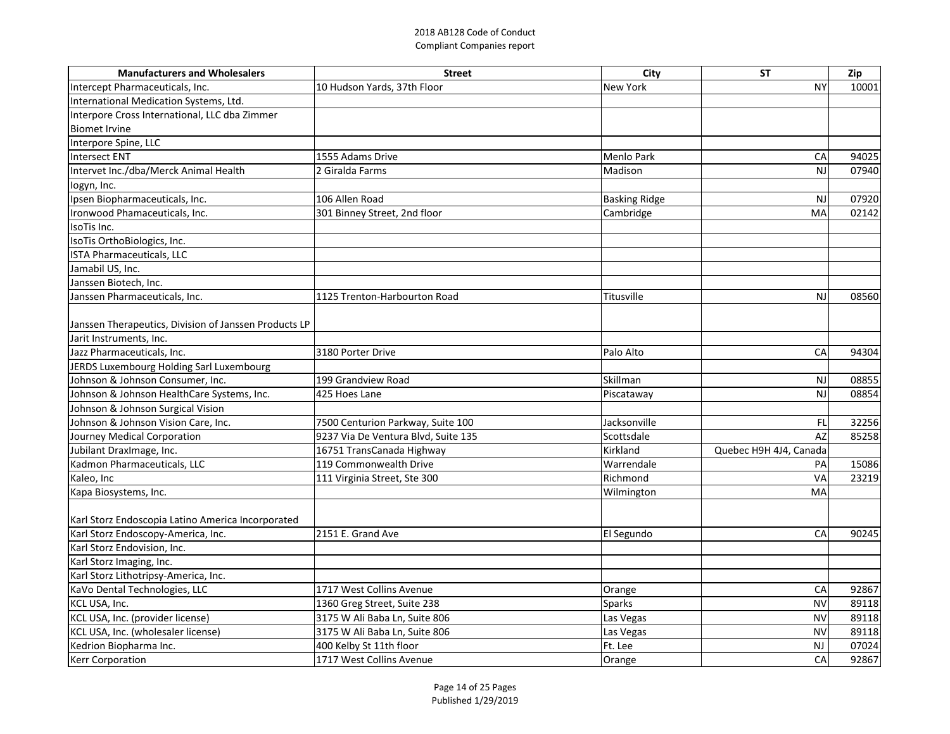| 10 Hudson Yards, 37th Floor<br><b>New York</b><br><b>NY</b><br>10001<br><b>Menlo Park</b><br>1555 Adams Drive<br>CA<br>94025<br>07940<br>2 Giralda Farms<br>Madison<br><b>NJ</b><br>106 Allen Road<br><b>Basking Ridge</b><br>07920<br>NJ<br>Cambridge<br>301 Binney Street, 2nd floor<br>MA<br>02142<br>1125 Trenton-Harbourton Road<br>Titusville<br>08560<br>NJ<br>Palo Alto<br>3180 Porter Drive<br>CA<br>94304<br>Skillman<br>199 Grandview Road<br><b>NJ</b><br>08855<br>08854<br>425 Hoes Lane<br>N.<br>Piscataway<br>Jacksonville<br>7500 Centurion Parkway, Suite 100<br>FL<br>32256<br>9237 Via De Ventura Blvd, Suite 135<br>Scottsdale<br>AZ<br>85258<br>Kirkland<br>16751 TransCanada Highway<br>Quebec H9H 4J4, Canada<br>Kadmon Pharmaceuticals, LLC<br>119 Commonwealth Drive<br>Warrendale<br>PA<br>15086<br>Kaleo, Inc<br>Richmond<br>23219<br>$\sqrt{\Delta}$<br>111 Virginia Street, Ste 300<br>MA<br>Wilmington<br>Karl Storz Endoscopia Latino America Incorporated<br>Karl Storz Endoscopy-America, Inc.<br>2151 E. Grand Ave<br>El Segundo<br>CA<br>90245<br>Karl Storz Endovision, Inc.<br>Karl Storz Imaging, Inc.<br>Karl Storz Lithotripsy-America, Inc.<br>KaVo Dental Technologies, LLC<br>1717 West Collins Avenue<br>92867<br>CA<br>Orange<br>1360 Greg Street, Suite 238<br>KCL USA, Inc.<br><b>Sparks</b><br><b>NV</b><br>89118<br>KCL USA, Inc. (provider license)<br>3175 W Ali Baba Ln, Suite 806<br><b>NV</b><br>89118<br>Las Vegas<br>KCL USA, Inc. (wholesaler license)<br>3175 W Ali Baba Ln, Suite 806<br><b>NV</b><br>89118<br>Las Vegas<br>Kedrion Biopharma Inc.<br>400 Kelby St 11th floor<br>Ft. Lee<br><b>NJ</b><br>07024 | <b>Manufacturers and Wholesalers</b>                  | <b>Street</b>            | City   | <b>ST</b> | Zip   |
|---------------------------------------------------------------------------------------------------------------------------------------------------------------------------------------------------------------------------------------------------------------------------------------------------------------------------------------------------------------------------------------------------------------------------------------------------------------------------------------------------------------------------------------------------------------------------------------------------------------------------------------------------------------------------------------------------------------------------------------------------------------------------------------------------------------------------------------------------------------------------------------------------------------------------------------------------------------------------------------------------------------------------------------------------------------------------------------------------------------------------------------------------------------------------------------------------------------------------------------------------------------------------------------------------------------------------------------------------------------------------------------------------------------------------------------------------------------------------------------------------------------------------------------------------------------------------------------------------------------------------------------------------------------------------|-------------------------------------------------------|--------------------------|--------|-----------|-------|
|                                                                                                                                                                                                                                                                                                                                                                                                                                                                                                                                                                                                                                                                                                                                                                                                                                                                                                                                                                                                                                                                                                                                                                                                                                                                                                                                                                                                                                                                                                                                                                                                                                                                           | Intercept Pharmaceuticals, Inc.                       |                          |        |           |       |
|                                                                                                                                                                                                                                                                                                                                                                                                                                                                                                                                                                                                                                                                                                                                                                                                                                                                                                                                                                                                                                                                                                                                                                                                                                                                                                                                                                                                                                                                                                                                                                                                                                                                           | International Medication Systems, Ltd.                |                          |        |           |       |
|                                                                                                                                                                                                                                                                                                                                                                                                                                                                                                                                                                                                                                                                                                                                                                                                                                                                                                                                                                                                                                                                                                                                                                                                                                                                                                                                                                                                                                                                                                                                                                                                                                                                           | Interpore Cross International, LLC dba Zimmer         |                          |        |           |       |
|                                                                                                                                                                                                                                                                                                                                                                                                                                                                                                                                                                                                                                                                                                                                                                                                                                                                                                                                                                                                                                                                                                                                                                                                                                                                                                                                                                                                                                                                                                                                                                                                                                                                           | <b>Biomet Irvine</b>                                  |                          |        |           |       |
|                                                                                                                                                                                                                                                                                                                                                                                                                                                                                                                                                                                                                                                                                                                                                                                                                                                                                                                                                                                                                                                                                                                                                                                                                                                                                                                                                                                                                                                                                                                                                                                                                                                                           | Interpore Spine, LLC                                  |                          |        |           |       |
|                                                                                                                                                                                                                                                                                                                                                                                                                                                                                                                                                                                                                                                                                                                                                                                                                                                                                                                                                                                                                                                                                                                                                                                                                                                                                                                                                                                                                                                                                                                                                                                                                                                                           | Intersect ENT                                         |                          |        |           |       |
|                                                                                                                                                                                                                                                                                                                                                                                                                                                                                                                                                                                                                                                                                                                                                                                                                                                                                                                                                                                                                                                                                                                                                                                                                                                                                                                                                                                                                                                                                                                                                                                                                                                                           | Intervet Inc./dba/Merck Animal Health                 |                          |        |           |       |
|                                                                                                                                                                                                                                                                                                                                                                                                                                                                                                                                                                                                                                                                                                                                                                                                                                                                                                                                                                                                                                                                                                                                                                                                                                                                                                                                                                                                                                                                                                                                                                                                                                                                           | logyn, Inc.                                           |                          |        |           |       |
|                                                                                                                                                                                                                                                                                                                                                                                                                                                                                                                                                                                                                                                                                                                                                                                                                                                                                                                                                                                                                                                                                                                                                                                                                                                                                                                                                                                                                                                                                                                                                                                                                                                                           | Ipsen Biopharmaceuticals, Inc.                        |                          |        |           |       |
|                                                                                                                                                                                                                                                                                                                                                                                                                                                                                                                                                                                                                                                                                                                                                                                                                                                                                                                                                                                                                                                                                                                                                                                                                                                                                                                                                                                                                                                                                                                                                                                                                                                                           | Ironwood Phamaceuticals, Inc.                         |                          |        |           |       |
|                                                                                                                                                                                                                                                                                                                                                                                                                                                                                                                                                                                                                                                                                                                                                                                                                                                                                                                                                                                                                                                                                                                                                                                                                                                                                                                                                                                                                                                                                                                                                                                                                                                                           | IsoTis Inc.                                           |                          |        |           |       |
|                                                                                                                                                                                                                                                                                                                                                                                                                                                                                                                                                                                                                                                                                                                                                                                                                                                                                                                                                                                                                                                                                                                                                                                                                                                                                                                                                                                                                                                                                                                                                                                                                                                                           | IsoTis OrthoBiologics, Inc.                           |                          |        |           |       |
|                                                                                                                                                                                                                                                                                                                                                                                                                                                                                                                                                                                                                                                                                                                                                                                                                                                                                                                                                                                                                                                                                                                                                                                                                                                                                                                                                                                                                                                                                                                                                                                                                                                                           | ISTA Pharmaceuticals, LLC                             |                          |        |           |       |
|                                                                                                                                                                                                                                                                                                                                                                                                                                                                                                                                                                                                                                                                                                                                                                                                                                                                                                                                                                                                                                                                                                                                                                                                                                                                                                                                                                                                                                                                                                                                                                                                                                                                           | Jamabil US, Inc.                                      |                          |        |           |       |
|                                                                                                                                                                                                                                                                                                                                                                                                                                                                                                                                                                                                                                                                                                                                                                                                                                                                                                                                                                                                                                                                                                                                                                                                                                                                                                                                                                                                                                                                                                                                                                                                                                                                           | Janssen Biotech, Inc.                                 |                          |        |           |       |
|                                                                                                                                                                                                                                                                                                                                                                                                                                                                                                                                                                                                                                                                                                                                                                                                                                                                                                                                                                                                                                                                                                                                                                                                                                                                                                                                                                                                                                                                                                                                                                                                                                                                           | Janssen Pharmaceuticals, Inc.                         |                          |        |           |       |
|                                                                                                                                                                                                                                                                                                                                                                                                                                                                                                                                                                                                                                                                                                                                                                                                                                                                                                                                                                                                                                                                                                                                                                                                                                                                                                                                                                                                                                                                                                                                                                                                                                                                           |                                                       |                          |        |           |       |
|                                                                                                                                                                                                                                                                                                                                                                                                                                                                                                                                                                                                                                                                                                                                                                                                                                                                                                                                                                                                                                                                                                                                                                                                                                                                                                                                                                                                                                                                                                                                                                                                                                                                           | Janssen Therapeutics, Division of Janssen Products LP |                          |        |           |       |
|                                                                                                                                                                                                                                                                                                                                                                                                                                                                                                                                                                                                                                                                                                                                                                                                                                                                                                                                                                                                                                                                                                                                                                                                                                                                                                                                                                                                                                                                                                                                                                                                                                                                           | Jarit Instruments, Inc.                               |                          |        |           |       |
|                                                                                                                                                                                                                                                                                                                                                                                                                                                                                                                                                                                                                                                                                                                                                                                                                                                                                                                                                                                                                                                                                                                                                                                                                                                                                                                                                                                                                                                                                                                                                                                                                                                                           | Jazz Pharmaceuticals, Inc.                            |                          |        |           |       |
|                                                                                                                                                                                                                                                                                                                                                                                                                                                                                                                                                                                                                                                                                                                                                                                                                                                                                                                                                                                                                                                                                                                                                                                                                                                                                                                                                                                                                                                                                                                                                                                                                                                                           | JERDS Luxembourg Holding Sarl Luxembourg              |                          |        |           |       |
|                                                                                                                                                                                                                                                                                                                                                                                                                                                                                                                                                                                                                                                                                                                                                                                                                                                                                                                                                                                                                                                                                                                                                                                                                                                                                                                                                                                                                                                                                                                                                                                                                                                                           | Johnson & Johnson Consumer, Inc.                      |                          |        |           |       |
|                                                                                                                                                                                                                                                                                                                                                                                                                                                                                                                                                                                                                                                                                                                                                                                                                                                                                                                                                                                                                                                                                                                                                                                                                                                                                                                                                                                                                                                                                                                                                                                                                                                                           | Johnson & Johnson HealthCare Systems, Inc.            |                          |        |           |       |
|                                                                                                                                                                                                                                                                                                                                                                                                                                                                                                                                                                                                                                                                                                                                                                                                                                                                                                                                                                                                                                                                                                                                                                                                                                                                                                                                                                                                                                                                                                                                                                                                                                                                           | Johnson & Johnson Surgical Vision                     |                          |        |           |       |
|                                                                                                                                                                                                                                                                                                                                                                                                                                                                                                                                                                                                                                                                                                                                                                                                                                                                                                                                                                                                                                                                                                                                                                                                                                                                                                                                                                                                                                                                                                                                                                                                                                                                           | Johnson & Johnson Vision Care, Inc.                   |                          |        |           |       |
|                                                                                                                                                                                                                                                                                                                                                                                                                                                                                                                                                                                                                                                                                                                                                                                                                                                                                                                                                                                                                                                                                                                                                                                                                                                                                                                                                                                                                                                                                                                                                                                                                                                                           | Journey Medical Corporation                           |                          |        |           |       |
|                                                                                                                                                                                                                                                                                                                                                                                                                                                                                                                                                                                                                                                                                                                                                                                                                                                                                                                                                                                                                                                                                                                                                                                                                                                                                                                                                                                                                                                                                                                                                                                                                                                                           | Jubilant DraxImage, Inc.                              |                          |        |           |       |
|                                                                                                                                                                                                                                                                                                                                                                                                                                                                                                                                                                                                                                                                                                                                                                                                                                                                                                                                                                                                                                                                                                                                                                                                                                                                                                                                                                                                                                                                                                                                                                                                                                                                           |                                                       |                          |        |           |       |
|                                                                                                                                                                                                                                                                                                                                                                                                                                                                                                                                                                                                                                                                                                                                                                                                                                                                                                                                                                                                                                                                                                                                                                                                                                                                                                                                                                                                                                                                                                                                                                                                                                                                           |                                                       |                          |        |           |       |
|                                                                                                                                                                                                                                                                                                                                                                                                                                                                                                                                                                                                                                                                                                                                                                                                                                                                                                                                                                                                                                                                                                                                                                                                                                                                                                                                                                                                                                                                                                                                                                                                                                                                           | Kapa Biosystems, Inc.                                 |                          |        |           |       |
|                                                                                                                                                                                                                                                                                                                                                                                                                                                                                                                                                                                                                                                                                                                                                                                                                                                                                                                                                                                                                                                                                                                                                                                                                                                                                                                                                                                                                                                                                                                                                                                                                                                                           |                                                       |                          |        |           |       |
|                                                                                                                                                                                                                                                                                                                                                                                                                                                                                                                                                                                                                                                                                                                                                                                                                                                                                                                                                                                                                                                                                                                                                                                                                                                                                                                                                                                                                                                                                                                                                                                                                                                                           |                                                       |                          |        |           |       |
|                                                                                                                                                                                                                                                                                                                                                                                                                                                                                                                                                                                                                                                                                                                                                                                                                                                                                                                                                                                                                                                                                                                                                                                                                                                                                                                                                                                                                                                                                                                                                                                                                                                                           |                                                       |                          |        |           |       |
|                                                                                                                                                                                                                                                                                                                                                                                                                                                                                                                                                                                                                                                                                                                                                                                                                                                                                                                                                                                                                                                                                                                                                                                                                                                                                                                                                                                                                                                                                                                                                                                                                                                                           |                                                       |                          |        |           |       |
|                                                                                                                                                                                                                                                                                                                                                                                                                                                                                                                                                                                                                                                                                                                                                                                                                                                                                                                                                                                                                                                                                                                                                                                                                                                                                                                                                                                                                                                                                                                                                                                                                                                                           |                                                       |                          |        |           |       |
|                                                                                                                                                                                                                                                                                                                                                                                                                                                                                                                                                                                                                                                                                                                                                                                                                                                                                                                                                                                                                                                                                                                                                                                                                                                                                                                                                                                                                                                                                                                                                                                                                                                                           |                                                       |                          |        |           |       |
|                                                                                                                                                                                                                                                                                                                                                                                                                                                                                                                                                                                                                                                                                                                                                                                                                                                                                                                                                                                                                                                                                                                                                                                                                                                                                                                                                                                                                                                                                                                                                                                                                                                                           |                                                       |                          |        |           |       |
|                                                                                                                                                                                                                                                                                                                                                                                                                                                                                                                                                                                                                                                                                                                                                                                                                                                                                                                                                                                                                                                                                                                                                                                                                                                                                                                                                                                                                                                                                                                                                                                                                                                                           |                                                       |                          |        |           |       |
|                                                                                                                                                                                                                                                                                                                                                                                                                                                                                                                                                                                                                                                                                                                                                                                                                                                                                                                                                                                                                                                                                                                                                                                                                                                                                                                                                                                                                                                                                                                                                                                                                                                                           |                                                       |                          |        |           |       |
|                                                                                                                                                                                                                                                                                                                                                                                                                                                                                                                                                                                                                                                                                                                                                                                                                                                                                                                                                                                                                                                                                                                                                                                                                                                                                                                                                                                                                                                                                                                                                                                                                                                                           |                                                       |                          |        |           |       |
|                                                                                                                                                                                                                                                                                                                                                                                                                                                                                                                                                                                                                                                                                                                                                                                                                                                                                                                                                                                                                                                                                                                                                                                                                                                                                                                                                                                                                                                                                                                                                                                                                                                                           | <b>Kerr Corporation</b>                               | 1717 West Collins Avenue | Orange | CA        | 92867 |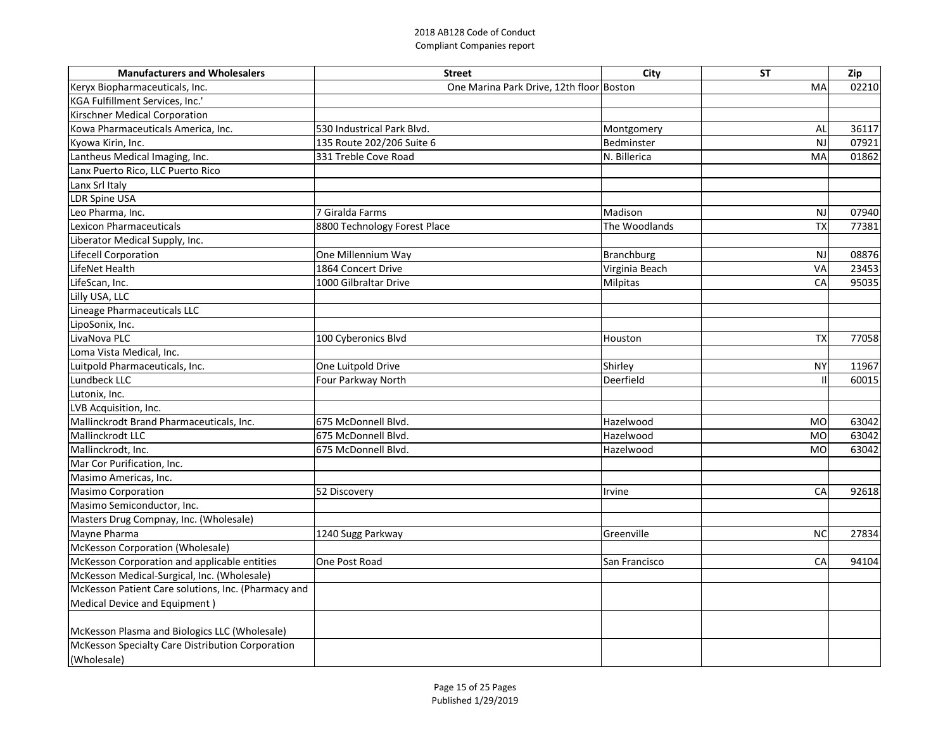| <b>Manufacturers and Wholesalers</b>                | <b>Street</b>                            | City              | <b>ST</b> | Zip   |
|-----------------------------------------------------|------------------------------------------|-------------------|-----------|-------|
| Keryx Biopharmaceuticals, Inc.                      | One Marina Park Drive, 12th floor Boston |                   | MA        | 02210 |
| KGA Fulfillment Services, Inc.'                     |                                          |                   |           |       |
| Kirschner Medical Corporation                       |                                          |                   |           |       |
| Kowa Pharmaceuticals America, Inc.                  | 530 Industrical Park Blvd.               | Montgomery        | Al        | 36117 |
| Kyowa Kirin, Inc.                                   | 135 Route 202/206 Suite 6                | Bedminster        | N         | 07921 |
| Lantheus Medical Imaging, Inc.                      | 331 Treble Cove Road                     | N. Billerica      | MA        | 01862 |
| Lanx Puerto Rico, LLC Puerto Rico                   |                                          |                   |           |       |
| Lanx Srl Italy                                      |                                          |                   |           |       |
| LDR Spine USA                                       |                                          |                   |           |       |
| Leo Pharma, Inc.                                    | 7 Giralda Farms                          | Madison           | <b>NJ</b> | 07940 |
| Lexicon Pharmaceuticals                             | 8800 Technology Forest Place             | The Woodlands     | TХ        | 77381 |
| Liberator Medical Supply, Inc.                      |                                          |                   |           |       |
| Lifecell Corporation                                | One Millennium Way                       | <b>Branchburg</b> | <b>NJ</b> | 08876 |
| LifeNet Health                                      | 1864 Concert Drive                       | Virginia Beach    | VA        | 23453 |
| LifeScan, Inc.                                      | 1000 Gilbraltar Drive                    | <b>Milpitas</b>   | CA        | 95035 |
| Lilly USA, LLC                                      |                                          |                   |           |       |
| Lineage Pharmaceuticals LLC                         |                                          |                   |           |       |
| LipoSonix, Inc.                                     |                                          |                   |           |       |
| LivaNova PLC                                        | 100 Cyberonics Blvd                      | Houston           | <b>TX</b> | 77058 |
| Loma Vista Medical, Inc.                            |                                          |                   |           |       |
| Luitpold Pharmaceuticals, Inc.                      | One Luitpold Drive                       | Shirley           | <b>NY</b> | 11967 |
| Lundbeck LLC                                        | Four Parkway North                       | Deerfield         |           | 60015 |
| Lutonix, Inc.                                       |                                          |                   |           |       |
| LVB Acquisition, Inc.                               |                                          |                   |           |       |
| Mallinckrodt Brand Pharmaceuticals, Inc.            | 675 McDonnell Blvd.                      | Hazelwood         | <b>MO</b> | 63042 |
| Mallinckrodt LLC                                    | 675 McDonnell Blvd.                      | Hazelwood         | <b>MO</b> | 63042 |
| Mallinckrodt, Inc.                                  | 675 McDonnell Blvd.                      | Hazelwood         | <b>MO</b> | 63042 |
| Mar Cor Purification, Inc.                          |                                          |                   |           |       |
| Masimo Americas, Inc.                               |                                          |                   |           |       |
| Masimo Corporation                                  | 52 Discovery                             | Irvine            | CA        | 92618 |
| Masimo Semiconductor, Inc.                          |                                          |                   |           |       |
| Masters Drug Compnay, Inc. (Wholesale)              |                                          |                   |           |       |
| Mayne Pharma                                        | 1240 Sugg Parkway                        | Greenville        | <b>NC</b> | 27834 |
| McKesson Corporation (Wholesale)                    |                                          |                   |           |       |
| McKesson Corporation and applicable entities        | One Post Road                            | San Francisco     | CA        | 94104 |
| McKesson Medical-Surgical, Inc. (Wholesale)         |                                          |                   |           |       |
| McKesson Patient Care solutions, Inc. (Pharmacy and |                                          |                   |           |       |
| Medical Device and Equipment)                       |                                          |                   |           |       |
| McKesson Plasma and Biologics LLC (Wholesale)       |                                          |                   |           |       |
| McKesson Specialty Care Distribution Corporation    |                                          |                   |           |       |
| (Wholesale)                                         |                                          |                   |           |       |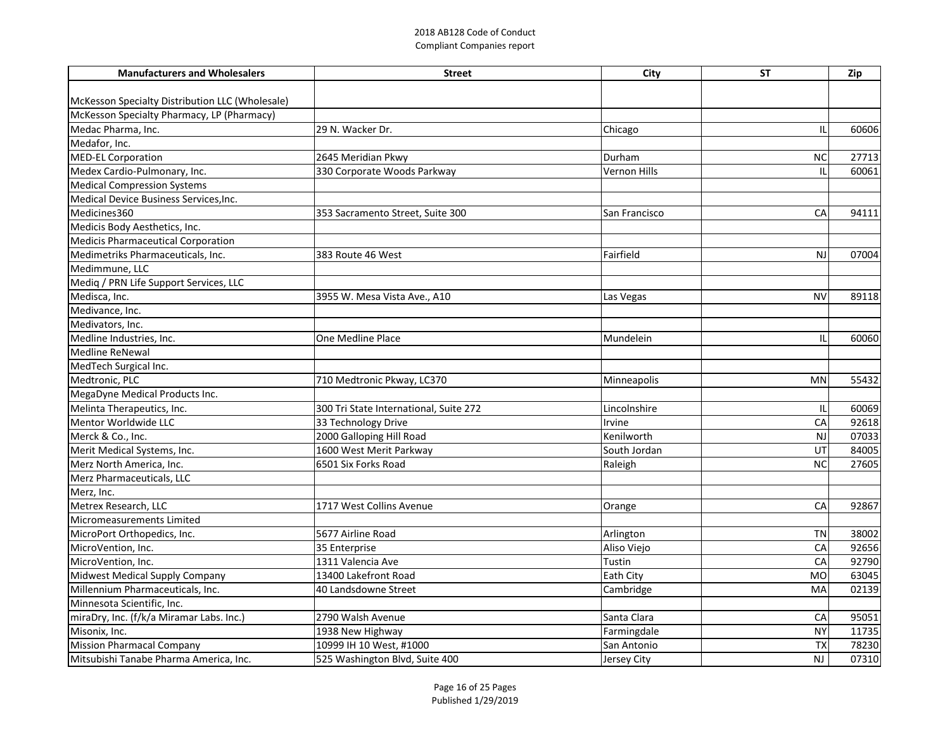| <b>Manufacturers and Wholesalers</b>            | <b>Street</b>                          | City                | <b>ST</b> | Zip   |
|-------------------------------------------------|----------------------------------------|---------------------|-----------|-------|
|                                                 |                                        |                     |           |       |
| McKesson Specialty Distribution LLC (Wholesale) |                                        |                     |           |       |
| McKesson Specialty Pharmacy, LP (Pharmacy)      |                                        |                     |           |       |
| Medac Pharma, Inc.                              | 29 N. Wacker Dr.                       | Chicago             |           | 60606 |
| Medafor, Inc.                                   |                                        |                     |           |       |
| MED-EL Corporation                              | 2645 Meridian Pkwy                     | Durham              | <b>NC</b> | 27713 |
| Medex Cardio-Pulmonary, Inc.                    | 330 Corporate Woods Parkway            | <b>Vernon Hills</b> |           | 60061 |
| <b>Medical Compression Systems</b>              |                                        |                     |           |       |
| Medical Device Business Services, Inc.          |                                        |                     |           |       |
| Medicines360                                    | 353 Sacramento Street, Suite 300       | San Francisco       | CA        | 94111 |
| Medicis Body Aesthetics, Inc.                   |                                        |                     |           |       |
| Medicis Pharmaceutical Corporation              |                                        |                     |           |       |
| Medimetriks Pharmaceuticals, Inc.               | 383 Route 46 West                      | Fairfield           | <b>NJ</b> | 07004 |
| Medimmune, LLC                                  |                                        |                     |           |       |
| Mediq / PRN Life Support Services, LLC          |                                        |                     |           |       |
| Medisca, Inc.                                   | 3955 W. Mesa Vista Ave., A10           | Las Vegas           | <b>NV</b> | 89118 |
| Medivance, Inc.                                 |                                        |                     |           |       |
| Medivators, Inc.                                |                                        |                     |           |       |
| Medline Industries, Inc.                        | One Medline Place                      | Mundelein           |           | 60060 |
| Medline ReNewal                                 |                                        |                     |           |       |
| MedTech Surgical Inc.                           |                                        |                     |           |       |
| Medtronic, PLC                                  | 710 Medtronic Pkway, LC370             | Minneapolis         | <b>MN</b> | 55432 |
| MegaDyne Medical Products Inc.                  |                                        |                     |           |       |
| Melinta Therapeutics, Inc.                      | 300 Tri State International, Suite 272 | Lincolnshire        | Ш         | 60069 |
| Mentor Worldwide LLC                            | 33 Technology Drive                    | Irvine              | CA        | 92618 |
| Merck & Co., Inc.                               | 2000 Galloping Hill Road               | Kenilworth          | NJ        | 07033 |
| Merit Medical Systems, Inc.                     | 1600 West Merit Parkway                | South Jordan        | UT        | 84005 |
| Merz North America, Inc.                        | 6501 Six Forks Road                    | Raleigh             | <b>NC</b> | 27605 |
| Merz Pharmaceuticals, LLC                       |                                        |                     |           |       |
| Merz, Inc.                                      |                                        |                     |           |       |
| Metrex Research, LLC                            | 1717 West Collins Avenue               | Orange              | CA        | 92867 |
| Micromeasurements Limited                       |                                        |                     |           |       |
| MicroPort Orthopedics, Inc.                     | 5677 Airline Road                      | Arlington           | <b>TN</b> | 38002 |
| MicroVention, Inc.                              | 35 Enterprise                          | Aliso Viejo         | CA        | 92656 |
| MicroVention, Inc.                              | 1311 Valencia Ave                      | Tustin              | CA        | 92790 |
| Midwest Medical Supply Company                  | 13400 Lakefront Road                   | Eath City           | <b>MO</b> | 63045 |
| Millennium Pharmaceuticals, Inc.                | 40 Landsdowne Street                   | Cambridge           | MA        | 02139 |
| Minnesota Scientific, Inc.                      |                                        |                     |           |       |
| miraDry, Inc. (f/k/a Miramar Labs. Inc.)        | 2790 Walsh Avenue                      | Santa Clara         | CA        | 95051 |
| Misonix, Inc.                                   | 1938 New Highway                       | Farmingdale         | <b>NY</b> | 11735 |
| <b>Mission Pharmacal Company</b>                | 10999 IH 10 West, #1000                | San Antonio         | <b>TX</b> | 78230 |
| Mitsubishi Tanabe Pharma America, Inc.          | 525 Washington Blvd, Suite 400         | Jersey City         | <b>NJ</b> | 07310 |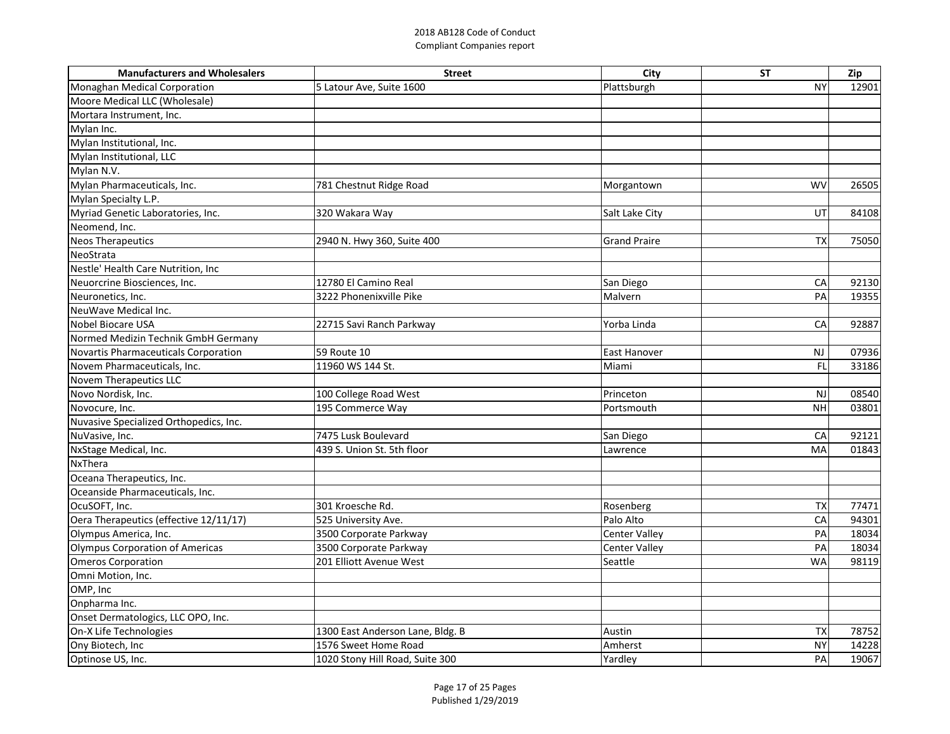| <b>Manufacturers and Wholesalers</b>   | <b>Street</b>                    | City                 | <b>ST</b> | Zip   |
|----------------------------------------|----------------------------------|----------------------|-----------|-------|
| Monaghan Medical Corporation           | 5 Latour Ave, Suite 1600         | Plattsburgh          | <b>NY</b> | 12901 |
| Moore Medical LLC (Wholesale)          |                                  |                      |           |       |
| Mortara Instrument, Inc.               |                                  |                      |           |       |
| Mylan Inc.                             |                                  |                      |           |       |
| Mylan Institutional, Inc.              |                                  |                      |           |       |
| Mylan Institutional, LLC               |                                  |                      |           |       |
| Mylan N.V.                             |                                  |                      |           |       |
| Mylan Pharmaceuticals, Inc.            | 781 Chestnut Ridge Road          | Morgantown           | <b>WV</b> | 26505 |
| Mylan Specialty L.P.                   |                                  |                      |           |       |
| Myriad Genetic Laboratories, Inc.      | 320 Wakara Way                   | Salt Lake City       | UT        | 84108 |
| Neomend, Inc.                          |                                  |                      |           |       |
| <b>Neos Therapeutics</b>               | 2940 N. Hwy 360, Suite 400       | <b>Grand Praire</b>  | <b>TX</b> | 75050 |
| NeoStrata                              |                                  |                      |           |       |
| Nestle' Health Care Nutrition, Inc     |                                  |                      |           |       |
| Neuorcrine Biosciences, Inc.           | 12780 El Camino Real             | San Diego            | CA        | 92130 |
| Neuronetics, Inc.                      | 3222 Phonenixville Pike          | Malvern              | PA        | 19355 |
| NeuWave Medical Inc.                   |                                  |                      |           |       |
| Nobel Biocare USA                      | 22715 Savi Ranch Parkway         | Yorba Linda          | CA        | 92887 |
| Normed Medizin Technik GmbH Germany    |                                  |                      |           |       |
| Novartis Pharmaceuticals Corporation   | 59 Route 10                      | East Hanover         | <b>NJ</b> | 07936 |
| Novem Pharmaceuticals, Inc.            | 11960 WS 144 St.                 | Miami                | FL        | 33186 |
| Novem Therapeutics LLC                 |                                  |                      |           |       |
| Novo Nordisk, Inc.                     | 100 College Road West            | Princeton            | <b>NJ</b> | 08540 |
| Novocure, Inc.                         | 195 Commerce Way                 | Portsmouth           | <b>NH</b> | 03801 |
| Nuvasive Specialized Orthopedics, Inc. |                                  |                      |           |       |
| NuVasive, Inc.                         | 7475 Lusk Boulevard              | San Diego            | CA        | 92121 |
| NxStage Medical, Inc.                  | 439 S. Union St. 5th floor       | Lawrence             | MA        | 01843 |
| NxThera                                |                                  |                      |           |       |
| Oceana Therapeutics, Inc.              |                                  |                      |           |       |
| Oceanside Pharmaceuticals, Inc.        |                                  |                      |           |       |
| OcuSOFT, Inc.                          | 301 Kroesche Rd.                 | Rosenberg            | <b>TX</b> | 77471 |
| Oera Therapeutics (effective 12/11/17) | 525 University Ave.              | Palo Alto            | CA        | 94301 |
| Olympus America, Inc.                  | 3500 Corporate Parkway           | <b>Center Valley</b> | PA        | 18034 |
| Olympus Corporation of Americas        | 3500 Corporate Parkway           | <b>Center Valley</b> | PA        | 18034 |
| <b>Omeros Corporation</b>              | 201 Elliott Avenue West          | Seattle              | <b>WA</b> | 98119 |
| Omni Motion, Inc.                      |                                  |                      |           |       |
| OMP, Inc                               |                                  |                      |           |       |
| Onpharma Inc.                          |                                  |                      |           |       |
| Onset Dermatologics, LLC OPO, Inc.     |                                  |                      |           |       |
| On-X Life Technologies                 | 1300 East Anderson Lane, Bldg. B | Austin               | <b>TX</b> | 78752 |
| Ony Biotech, Inc                       | 1576 Sweet Home Road             | Amherst              | <b>NY</b> | 14228 |
| Optinose US, Inc.                      | 1020 Stony Hill Road, Suite 300  | Yardley              | PA        | 19067 |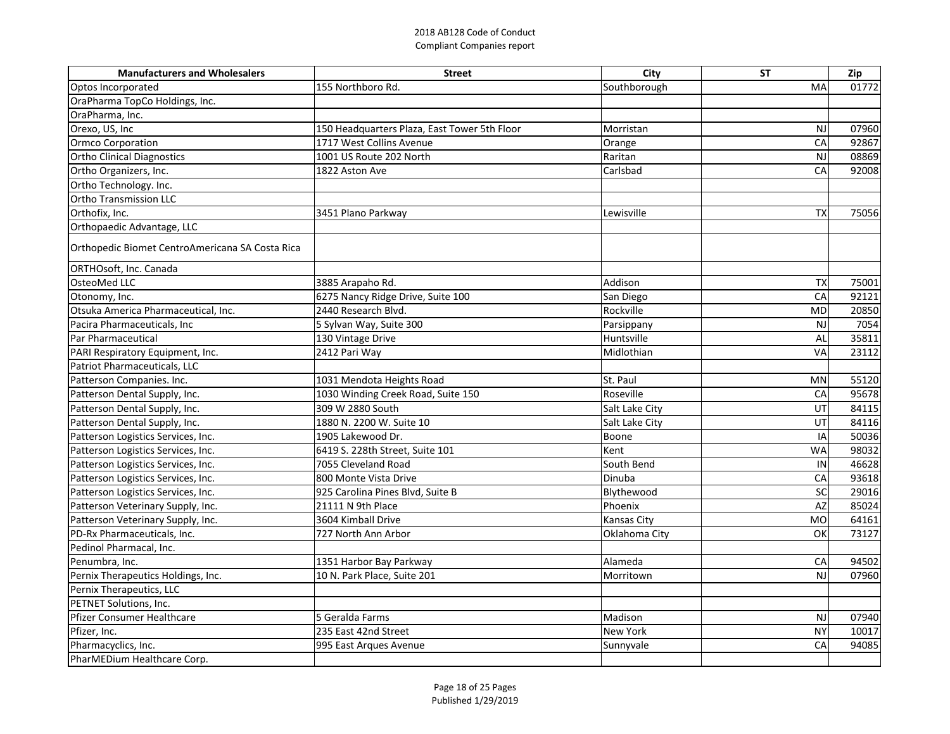| <b>Manufacturers and Wholesalers</b>            | <b>Street</b>                                | City           | <b>ST</b>  | Zip   |
|-------------------------------------------------|----------------------------------------------|----------------|------------|-------|
| Optos Incorporated                              | 155 Northboro Rd.                            | Southborough   | MA         | 01772 |
| OraPharma TopCo Holdings, Inc.                  |                                              |                |            |       |
| OraPharma, Inc.                                 |                                              |                |            |       |
| Orexo, US, Inc                                  | 150 Headquarters Plaza, East Tower 5th Floor | Morristan      | NJ         | 07960 |
| <b>Ormco Corporation</b>                        | 1717 West Collins Avenue                     | Orange         | CA         | 92867 |
| <b>Ortho Clinical Diagnostics</b>               | 1001 US Route 202 North                      | Raritan        | <b>NJ</b>  | 08869 |
| Ortho Organizers, Inc.                          | 1822 Aston Ave                               | Carlsbad       | CA         | 92008 |
| Ortho Technology. Inc.                          |                                              |                |            |       |
| <b>Ortho Transmission LLC</b>                   |                                              |                |            |       |
| Orthofix, Inc.                                  | 3451 Plano Parkway                           | Lewisville     | <b>TX</b>  | 75056 |
| Orthopaedic Advantage, LLC                      |                                              |                |            |       |
| Orthopedic Biomet CentroAmericana SA Costa Rica |                                              |                |            |       |
| ORTHOsoft, Inc. Canada                          |                                              |                |            |       |
| <b>OsteoMed LLC</b>                             | 3885 Arapaho Rd.                             | Addison        | <b>TX</b>  | 75001 |
| Otonomy, Inc.                                   | 6275 Nancy Ridge Drive, Suite 100            | San Diego      | CA         | 92121 |
| Otsuka America Pharmaceutical, Inc.             | 2440 Research Blvd.                          | Rockville      | <b>MD</b>  | 20850 |
| Pacira Pharmaceuticals, Inc                     | 5 Sylvan Way, Suite 300                      | Parsippany     | <b>NJ</b>  | 7054  |
| Par Pharmaceutical                              | 130 Vintage Drive                            | Huntsville     | Al         | 35811 |
| PARI Respiratory Equipment, Inc.                | 2412 Pari Way                                | Midlothian     | VA         | 23112 |
| Patriot Pharmaceuticals, LLC                    |                                              |                |            |       |
| Patterson Companies. Inc.                       | 1031 Mendota Heights Road                    | St. Paul       | <b>MN</b>  | 55120 |
| Patterson Dental Supply, Inc.                   | 1030 Winding Creek Road, Suite 150           | Roseville      | CA         | 95678 |
| Patterson Dental Supply, Inc.                   | 309 W 2880 South                             | Salt Lake City | UT         | 84115 |
| Patterson Dental Supply, Inc.                   | 1880 N. 2200 W. Suite 10                     | Salt Lake City | UT         | 84116 |
| Patterson Logistics Services, Inc.              | 1905 Lakewood Dr.                            | Boone          | IA         | 50036 |
| Patterson Logistics Services, Inc.              | 6419 S. 228th Street, Suite 101              | Kent           | <b>WA</b>  | 98032 |
| Patterson Logistics Services, Inc.              | 7055 Cleveland Road                          | South Bend     | ΙN         | 46628 |
| Patterson Logistics Services, Inc.              | 800 Monte Vista Drive                        | Dinuba         | ${\sf CA}$ | 93618 |
| Patterson Logistics Services, Inc.              | 925 Carolina Pines Blvd, Suite B             | Blythewood     | SC         | 29016 |
| Patterson Veterinary Supply, Inc.               | 21111 N 9th Place                            | Phoenix        | AZ         | 85024 |
| Patterson Veterinary Supply, Inc.               | 3604 Kimball Drive                           | Kansas City    | <b>MO</b>  | 64161 |
| PD-Rx Pharmaceuticals, Inc.                     | 727 North Ann Arbor                          | Oklahoma City  | OK         | 73127 |
| Pedinol Pharmacal, Inc.                         |                                              |                |            |       |
| Penumbra, Inc.                                  | 1351 Harbor Bay Parkway                      | Alameda        | CA         | 94502 |
| Pernix Therapeutics Holdings, Inc.              | 10 N. Park Place, Suite 201                  | Morritown      | <b>NJ</b>  | 07960 |
| Pernix Therapeutics, LLC                        |                                              |                |            |       |
| PETNET Solutions, Inc.                          |                                              |                |            |       |
| Pfizer Consumer Healthcare                      | 5 Geralda Farms                              | Madison        | <b>NJ</b>  | 07940 |
| Pfizer, Inc.                                    | 235 East 42nd Street                         | New York       | <b>NY</b>  | 10017 |
| Pharmacyclics, Inc.                             | 995 East Arques Avenue                       | Sunnyvale      | CA         | 94085 |
| PharMEDium Healthcare Corp.                     |                                              |                |            |       |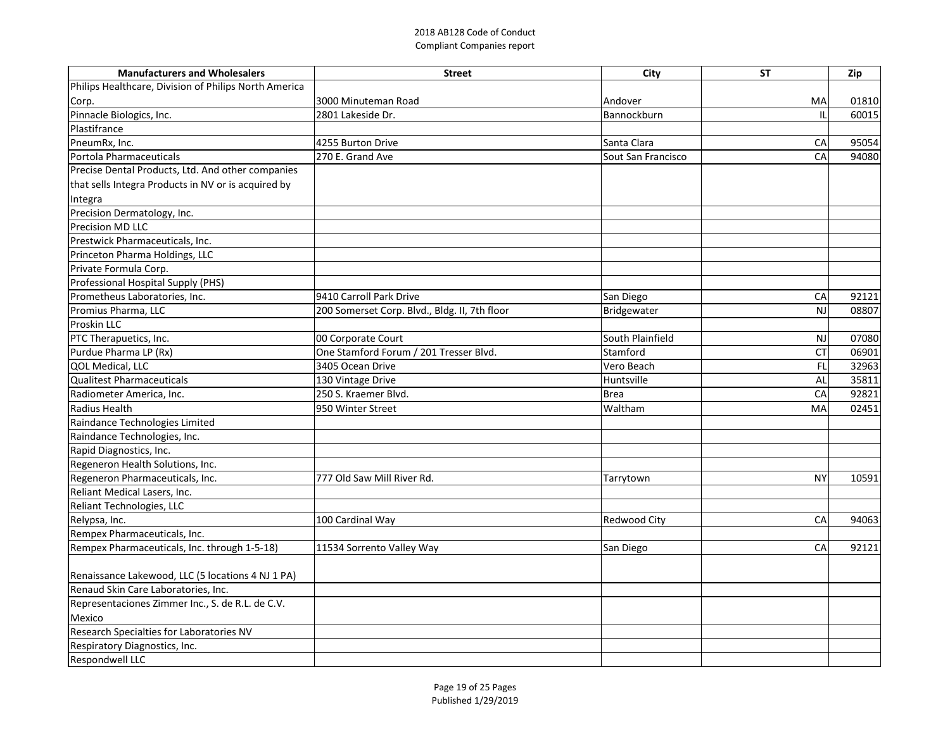| <b>Manufacturers and Wholesalers</b>                  | <b>Street</b>                                 | <b>City</b>         | <b>ST</b> | Zip   |
|-------------------------------------------------------|-----------------------------------------------|---------------------|-----------|-------|
| Philips Healthcare, Division of Philips North America |                                               |                     |           |       |
| Corp.                                                 | 3000 Minuteman Road                           | Andover             | MA        | 01810 |
| Pinnacle Biologics, Inc.                              | 2801 Lakeside Dr.                             | Bannockburn         |           | 60015 |
| Plastifrance                                          |                                               |                     |           |       |
| PneumRx, Inc.                                         | 4255 Burton Drive                             | Santa Clara         | CA        | 95054 |
| Portola Pharmaceuticals                               | 270 E. Grand Ave                              | Sout San Francisco  | CA        | 94080 |
| Precise Dental Products, Ltd. And other companies     |                                               |                     |           |       |
| that sells Integra Products in NV or is acquired by   |                                               |                     |           |       |
| Integra                                               |                                               |                     |           |       |
| Precision Dermatology, Inc.                           |                                               |                     |           |       |
| <b>Precision MD LLC</b>                               |                                               |                     |           |       |
| Prestwick Pharmaceuticals, Inc.                       |                                               |                     |           |       |
| Princeton Pharma Holdings, LLC                        |                                               |                     |           |       |
| Private Formula Corp.                                 |                                               |                     |           |       |
| Professional Hospital Supply (PHS)                    |                                               |                     |           |       |
| Prometheus Laboratories, Inc.                         | 9410 Carroll Park Drive                       | San Diego           | CA        | 92121 |
| Promius Pharma, LLC                                   | 200 Somerset Corp. Blvd., Bldg. II, 7th floor | Bridgewater         | NJ        | 08807 |
| Proskin LLC                                           |                                               |                     |           |       |
| PTC Therapuetics, Inc.                                | 00 Corporate Court                            | South Plainfield    | <b>NJ</b> | 07080 |
| Purdue Pharma LP (Rx)                                 | One Stamford Forum / 201 Tresser Blvd.        | Stamford            | <b>CT</b> | 06901 |
| QOL Medical, LLC                                      | 3405 Ocean Drive                              | Vero Beach          | FL        | 32963 |
| <b>Qualitest Pharmaceuticals</b>                      | 130 Vintage Drive                             | Huntsville          | Al        | 35811 |
| Radiometer America, Inc.                              | 250 S. Kraemer Blvd.                          | <b>Brea</b>         | CA        | 92821 |
| <b>Radius Health</b>                                  | 950 Winter Street                             | Waltham             | MA        | 02451 |
| Raindance Technologies Limited                        |                                               |                     |           |       |
| Raindance Technologies, Inc.                          |                                               |                     |           |       |
| Rapid Diagnostics, Inc.                               |                                               |                     |           |       |
| Regeneron Health Solutions, Inc.                      |                                               |                     |           |       |
| Regeneron Pharmaceuticals, Inc.                       | 777 Old Saw Mill River Rd.                    | Tarrytown           | <b>NY</b> | 10591 |
| Reliant Medical Lasers, Inc.                          |                                               |                     |           |       |
| Reliant Technologies, LLC                             |                                               |                     |           |       |
| Relypsa, Inc.                                         | 100 Cardinal Way                              | <b>Redwood City</b> | CA        | 94063 |
| Rempex Pharmaceuticals, Inc.                          |                                               |                     |           |       |
| Rempex Pharmaceuticals, Inc. through 1-5-18)          | 11534 Sorrento Valley Way                     | San Diego           | CA        | 92121 |
|                                                       |                                               |                     |           |       |
| Renaissance Lakewood, LLC (5 locations 4 NJ 1 PA)     |                                               |                     |           |       |
| Renaud Skin Care Laboratories, Inc.                   |                                               |                     |           |       |
| Representaciones Zimmer Inc., S. de R.L. de C.V.      |                                               |                     |           |       |
| Mexico                                                |                                               |                     |           |       |
| Research Specialties for Laboratories NV              |                                               |                     |           |       |
| Respiratory Diagnostics, Inc.                         |                                               |                     |           |       |
| <b>Respondwell LLC</b>                                |                                               |                     |           |       |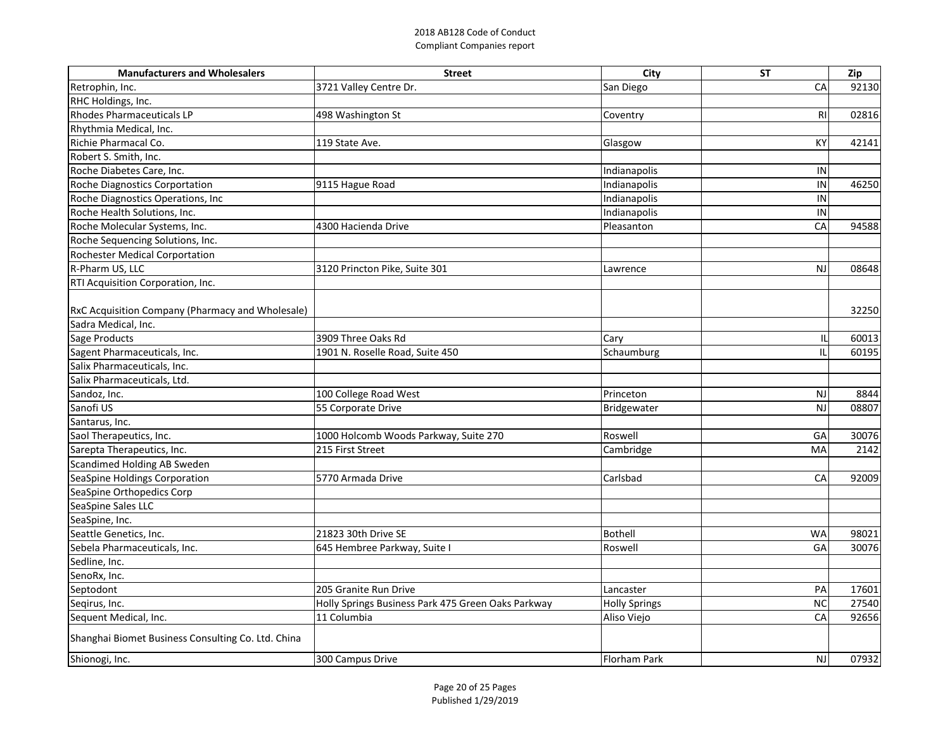| 3721 Valley Centre Dr.<br>92130<br>San Diego<br>CA<br>498 Washington St<br>R1<br>02816<br>Coventry<br>119 State Ave.<br>KY<br>42141<br>Glasgow<br>Indianapolis<br>IN<br>Indianapolis<br>9115 Hague Road<br>IN<br>46250<br>Indianapolis<br>IN<br>Indianapolis<br>$\sf IN$<br>94588<br>4300 Hacienda Drive<br>CA<br>Pleasanton | <b>Manufacturers and Wholesalers</b>                    | <b>Street</b>                 | <b>City</b> | <b>ST</b> | Zip   |
|------------------------------------------------------------------------------------------------------------------------------------------------------------------------------------------------------------------------------------------------------------------------------------------------------------------------------|---------------------------------------------------------|-------------------------------|-------------|-----------|-------|
|                                                                                                                                                                                                                                                                                                                              | Retrophin, Inc.                                         |                               |             |           |       |
|                                                                                                                                                                                                                                                                                                                              | RHC Holdings, Inc.                                      |                               |             |           |       |
|                                                                                                                                                                                                                                                                                                                              | Rhodes Pharmaceuticals LP                               |                               |             |           |       |
|                                                                                                                                                                                                                                                                                                                              | Rhythmia Medical, Inc.                                  |                               |             |           |       |
|                                                                                                                                                                                                                                                                                                                              | Richie Pharmacal Co.                                    |                               |             |           |       |
|                                                                                                                                                                                                                                                                                                                              | Robert S. Smith, Inc.                                   |                               |             |           |       |
|                                                                                                                                                                                                                                                                                                                              | Roche Diabetes Care, Inc.                               |                               |             |           |       |
|                                                                                                                                                                                                                                                                                                                              | <b>Roche Diagnostics Corportation</b>                   |                               |             |           |       |
|                                                                                                                                                                                                                                                                                                                              | Roche Diagnostics Operations, Inc                       |                               |             |           |       |
|                                                                                                                                                                                                                                                                                                                              | Roche Health Solutions, Inc.                            |                               |             |           |       |
|                                                                                                                                                                                                                                                                                                                              | Roche Molecular Systems, Inc.                           |                               |             |           |       |
|                                                                                                                                                                                                                                                                                                                              | Roche Sequencing Solutions, Inc.                        |                               |             |           |       |
|                                                                                                                                                                                                                                                                                                                              | <b>Rochester Medical Corportation</b>                   |                               |             |           |       |
|                                                                                                                                                                                                                                                                                                                              | R-Pharm US, LLC                                         | 3120 Princton Pike, Suite 301 | Lawrence    | <b>NJ</b> | 08648 |
|                                                                                                                                                                                                                                                                                                                              | RTI Acquisition Corporation, Inc.                       |                               |             |           |       |
|                                                                                                                                                                                                                                                                                                                              |                                                         |                               |             |           |       |
| 32250                                                                                                                                                                                                                                                                                                                        | <b>RxC Acquisition Company (Pharmacy and Wholesale)</b> |                               |             |           |       |
|                                                                                                                                                                                                                                                                                                                              | Sadra Medical, Inc.                                     |                               |             |           |       |
| 3909 Three Oaks Rd<br>Cary<br>60013                                                                                                                                                                                                                                                                                          | Sage Products                                           |                               |             |           |       |
| 1901 N. Roselle Road, Suite 450<br>Schaumburg<br>60195                                                                                                                                                                                                                                                                       | Sagent Pharmaceuticals, Inc.                            |                               |             |           |       |
|                                                                                                                                                                                                                                                                                                                              | Salix Pharmaceuticals, Inc.                             |                               |             |           |       |
|                                                                                                                                                                                                                                                                                                                              | Salix Pharmaceuticals, Ltd.                             |                               |             |           |       |
| 100 College Road West<br>Princeton<br>8844<br><b>NJ</b>                                                                                                                                                                                                                                                                      | Sandoz, Inc.                                            |                               |             |           |       |
| 08807<br>55 Corporate Drive<br><b>NJ</b><br>Bridgewater                                                                                                                                                                                                                                                                      | Sanofi US                                               |                               |             |           |       |
|                                                                                                                                                                                                                                                                                                                              | Santarus, Inc.                                          |                               |             |           |       |
| 30076<br>1000 Holcomb Woods Parkway, Suite 270<br>Roswell<br>GA                                                                                                                                                                                                                                                              | Saol Therapeutics, Inc.                                 |                               |             |           |       |
| 215 First Street<br>Cambridge<br>2142<br>MA                                                                                                                                                                                                                                                                                  | Sarepta Therapeutics, Inc.                              |                               |             |           |       |
|                                                                                                                                                                                                                                                                                                                              | Scandimed Holding AB Sweden                             |                               |             |           |       |
| Carlsbad<br>5770 Armada Drive<br>CA<br>92009                                                                                                                                                                                                                                                                                 | SeaSpine Holdings Corporation                           |                               |             |           |       |
|                                                                                                                                                                                                                                                                                                                              | SeaSpine Orthopedics Corp                               |                               |             |           |       |
|                                                                                                                                                                                                                                                                                                                              | SeaSpine Sales LLC                                      |                               |             |           |       |
|                                                                                                                                                                                                                                                                                                                              | SeaSpine, Inc.                                          |                               |             |           |       |
| 21823 30th Drive SE<br><b>Bothell</b><br>98021<br><b>WA</b>                                                                                                                                                                                                                                                                  | Seattle Genetics, Inc.                                  |                               |             |           |       |
| 645 Hembree Parkway, Suite I<br>Roswell<br>GA<br>30076                                                                                                                                                                                                                                                                       | Sebela Pharmaceuticals, Inc.                            |                               |             |           |       |
|                                                                                                                                                                                                                                                                                                                              | Sedline, Inc.                                           |                               |             |           |       |
|                                                                                                                                                                                                                                                                                                                              | SenoRx, Inc.                                            |                               |             |           |       |
| 205 Granite Run Drive<br>PA<br>17601<br>Lancaster                                                                                                                                                                                                                                                                            | Septodont                                               |                               |             |           |       |
| Holly Springs Business Park 475 Green Oaks Parkway<br><b>Holly Springs</b><br><b>NC</b><br>27540                                                                                                                                                                                                                             | Seqirus, Inc.                                           |                               |             |           |       |
| 11 Columbia<br>CA<br>92656<br>Aliso Viejo                                                                                                                                                                                                                                                                                    | Sequent Medical, Inc.                                   |                               |             |           |       |
|                                                                                                                                                                                                                                                                                                                              | Shanghai Biomet Business Consulting Co. Ltd. China      |                               |             |           |       |
| Florham Park<br>300 Campus Drive<br>NJ<br>07932                                                                                                                                                                                                                                                                              | Shionogi, Inc.                                          |                               |             |           |       |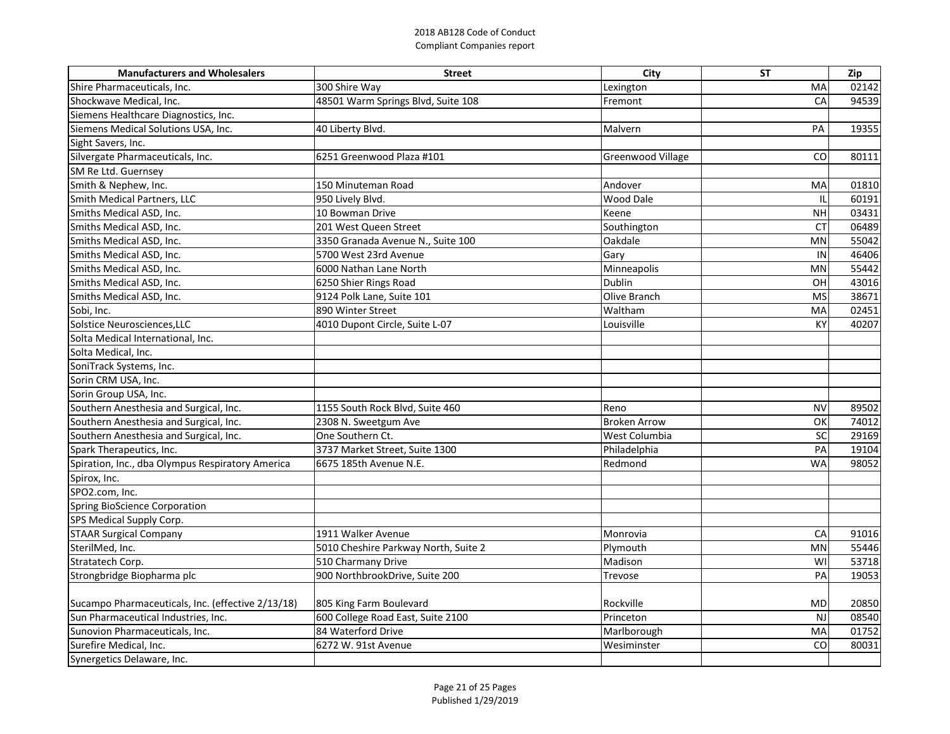| <b>Manufacturers and Wholesalers</b>              | <b>Street</b>                        | City                     | <b>ST</b>       | Zip   |
|---------------------------------------------------|--------------------------------------|--------------------------|-----------------|-------|
| Shire Pharmaceuticals, Inc.                       | 300 Shire Way                        | Lexington                | MA              | 02142 |
| Shockwave Medical, Inc.                           | 48501 Warm Springs Blvd, Suite 108   | Fremont                  | CA              | 94539 |
| Siemens Healthcare Diagnostics, Inc.              |                                      |                          |                 |       |
| Siemens Medical Solutions USA, Inc.               | 40 Liberty Blvd.                     | Malvern                  | PA              | 19355 |
| Sight Savers, Inc.                                |                                      |                          |                 |       |
| Silvergate Pharmaceuticals, Inc.                  | 6251 Greenwood Plaza #101            | <b>Greenwood Village</b> | CO <sub>1</sub> | 80111 |
| SM Re Ltd. Guernsey                               |                                      |                          |                 |       |
| Smith & Nephew, Inc.                              | 150 Minuteman Road                   | Andover                  | MA              | 01810 |
| Smith Medical Partners, LLC                       | 950 Lively Blvd.                     | Wood Dale                |                 | 60191 |
| Smiths Medical ASD, Inc.                          | 10 Bowman Drive                      | Keene                    | <b>NH</b>       | 03431 |
| Smiths Medical ASD, Inc.                          | 201 West Queen Street                | Southington              | <b>CT</b>       | 06489 |
| Smiths Medical ASD, Inc.                          | 3350 Granada Avenue N., Suite 100    | Oakdale                  | <b>MN</b>       | 55042 |
| Smiths Medical ASD, Inc.                          | 5700 West 23rd Avenue                | Gary                     | IN              | 46406 |
| Smiths Medical ASD, Inc.                          | 6000 Nathan Lane North               | Minneapolis              | <b>MN</b>       | 55442 |
| Smiths Medical ASD, Inc.                          | 6250 Shier Rings Road                | Dublin                   | OH              | 43016 |
| Smiths Medical ASD, Inc.                          | 9124 Polk Lane, Suite 101            | Olive Branch             | <b>MS</b>       | 38671 |
| Sobi, Inc.                                        | 890 Winter Street                    | Waltham                  | MA              | 02451 |
| Solstice Neurosciences, LLC                       | 4010 Dupont Circle, Suite L-07       | Louisville               | <b>KY</b>       | 40207 |
| Solta Medical International, Inc.                 |                                      |                          |                 |       |
| Solta Medical, Inc.                               |                                      |                          |                 |       |
| SoniTrack Systems, Inc.                           |                                      |                          |                 |       |
| Sorin CRM USA, Inc.                               |                                      |                          |                 |       |
| Sorin Group USA, Inc.                             |                                      |                          |                 |       |
| Southern Anesthesia and Surgical, Inc.            | 1155 South Rock Blvd, Suite 460      | Reno                     | <b>NV</b>       | 89502 |
| Southern Anesthesia and Surgical, Inc.            | 2308 N. Sweetgum Ave                 | <b>Broken Arrow</b>      | OK              | 74012 |
| Southern Anesthesia and Surgical, Inc.            | One Southern Ct.                     | West Columbia            | SC              | 29169 |
| Spark Therapeutics, Inc.                          | 3737 Market Street, Suite 1300       | Philadelphia             | PA              | 19104 |
| Spiration, Inc., dba Olympus Respiratory America  | 6675 185th Avenue N.E.               | Redmond                  | <b>WA</b>       | 98052 |
| Spirox, Inc.                                      |                                      |                          |                 |       |
| SPO2.com, Inc.                                    |                                      |                          |                 |       |
| Spring BioScience Corporation                     |                                      |                          |                 |       |
| <b>SPS Medical Supply Corp.</b>                   |                                      |                          |                 |       |
| <b>STAAR Surgical Company</b>                     | 1911 Walker Avenue                   | Monrovia                 | CA              | 91016 |
| SterilMed, Inc.                                   | 5010 Cheshire Parkway North, Suite 2 | Plymouth                 | <b>MN</b>       | 55446 |
| Stratatech Corp.                                  | 510 Charmany Drive                   | Madison                  | WI              | 53718 |
| Strongbridge Biopharma plc                        | 900 NorthbrookDrive, Suite 200       | Trevose                  | PA              | 19053 |
|                                                   |                                      |                          |                 |       |
| Sucampo Pharmaceuticals, Inc. (effective 2/13/18) | 805 King Farm Boulevard              | Rockville                | MD              | 20850 |
| Sun Pharmaceutical Industries, Inc.               | 600 College Road East, Suite 2100    | Princeton                | <b>NJ</b>       | 08540 |
| Sunovion Pharmaceuticals, Inc.                    | 84 Waterford Drive                   | Marlborough              | MA              | 01752 |
| Surefire Medical, Inc.                            | 6272 W. 91st Avenue                  | Wesiminster              | CO <sub>1</sub> | 80031 |
| Synergetics Delaware, Inc.                        |                                      |                          |                 |       |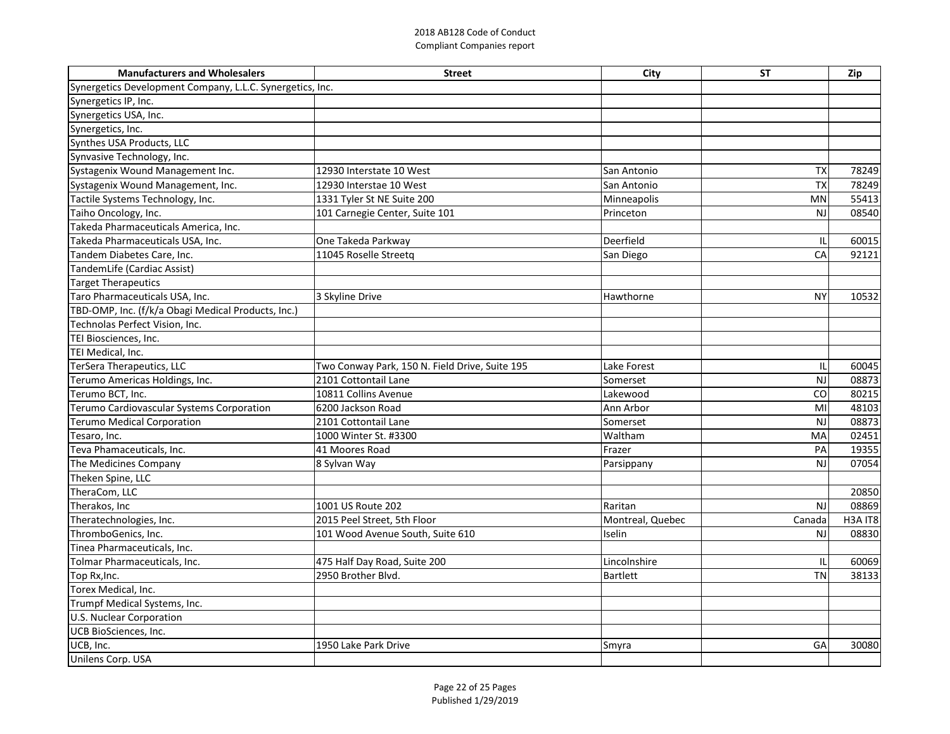| <b>Manufacturers and Wholesalers</b>                      | <b>Street</b>                                  | <b>City</b>      | <b>ST</b>       | Zip            |
|-----------------------------------------------------------|------------------------------------------------|------------------|-----------------|----------------|
| Synergetics Development Company, L.L.C. Synergetics, Inc. |                                                |                  |                 |                |
| Synergetics IP, Inc.                                      |                                                |                  |                 |                |
| Synergetics USA, Inc.                                     |                                                |                  |                 |                |
| Synergetics, Inc.                                         |                                                |                  |                 |                |
| Synthes USA Products, LLC                                 |                                                |                  |                 |                |
| Synvasive Technology, Inc.                                |                                                |                  |                 |                |
| Systagenix Wound Management Inc.                          | 12930 Interstate 10 West                       | San Antonio      | <b>TX</b>       | 78249          |
| Systagenix Wound Management, Inc.                         | 12930 Interstae 10 West                        | San Antonio      | <b>TX</b>       | 78249          |
| Tactile Systems Technology, Inc.                          | 1331 Tyler St NE Suite 200                     | Minneapolis      | <b>MN</b>       | 55413          |
| Taiho Oncology, Inc.                                      | 101 Carnegie Center, Suite 101                 | Princeton        | <b>NJ</b>       | 08540          |
| Takeda Pharmaceuticals America, Inc.                      |                                                |                  |                 |                |
| Takeda Pharmaceuticals USA, Inc.                          | One Takeda Parkway                             | Deerfield        |                 | 60015          |
| Tandem Diabetes Care, Inc.                                | 11045 Roselle Streetq                          | San Diego        | <b>CA</b>       | 92121          |
| TandemLife (Cardiac Assist)                               |                                                |                  |                 |                |
| <b>Target Therapeutics</b>                                |                                                |                  |                 |                |
| Taro Pharmaceuticals USA, Inc.                            | 3 Skyline Drive                                | Hawthorne        | <b>NY</b>       | 10532          |
| TBD-OMP, Inc. (f/k/a Obagi Medical Products, Inc.)        |                                                |                  |                 |                |
| Technolas Perfect Vision, Inc.                            |                                                |                  |                 |                |
| TEI Biosciences, Inc.                                     |                                                |                  |                 |                |
| TEI Medical, Inc.                                         |                                                |                  |                 |                |
| TerSera Therapeutics, LLC                                 | Two Conway Park, 150 N. Field Drive, Suite 195 | Lake Forest      |                 | 60045          |
| Terumo Americas Holdings, Inc.                            | 2101 Cottontail Lane                           | Somerset         | NJ              | 08873          |
| Terumo BCT, Inc.                                          | 10811 Collins Avenue                           | Lakewood         | CO <sub>1</sub> | 80215          |
| Terumo Cardiovascular Systems Corporation                 | 6200 Jackson Road                              | Ann Arbor        | MI              | 48103          |
| <b>Terumo Medical Corporation</b>                         | 2101 Cottontail Lane                           | Somerset         | <b>NJ</b>       | 08873          |
| Tesaro, Inc.                                              | 1000 Winter St. #3300                          | Waltham          | <b>MA</b>       | 02451          |
| Teva Phamaceuticals, Inc.                                 | 41 Moores Road                                 | Frazer           | PA              | 19355          |
| The Medicines Company                                     | 8 Sylvan Way                                   | Parsippany       | <b>NJ</b>       | 07054          |
| Theken Spine, LLC                                         |                                                |                  |                 |                |
| TheraCom, LLC                                             |                                                |                  |                 | 20850          |
| Therakos, Inc                                             | 1001 US Route 202                              | Raritan          | <b>NJ</b>       | 08869          |
| Theratechnologies, Inc.                                   | 2015 Peel Street, 5th Floor                    | Montreal, Quebec | Canada          | <b>H3A IT8</b> |
| ThromboGenics, Inc.                                       | 101 Wood Avenue South, Suite 610               | Iselin           | <b>NJ</b>       | 08830          |
| Tinea Pharmaceuticals, Inc.                               |                                                |                  |                 |                |
| Tolmar Pharmaceuticals, Inc.                              | 475 Half Day Road, Suite 200                   | Lincolnshire     |                 | 60069          |
| Top Rx, Inc.                                              | 2950 Brother Blvd.                             | <b>Bartlett</b>  | <b>TN</b>       | 38133          |
| Torex Medical, Inc.                                       |                                                |                  |                 |                |
| Trumpf Medical Systems, Inc.                              |                                                |                  |                 |                |
| U.S. Nuclear Corporation                                  |                                                |                  |                 |                |
| UCB BioSciences, Inc.                                     |                                                |                  |                 |                |
| UCB, Inc.                                                 | 1950 Lake Park Drive                           | Smyra            | GA              | 30080          |
| Unilens Corp. USA                                         |                                                |                  |                 |                |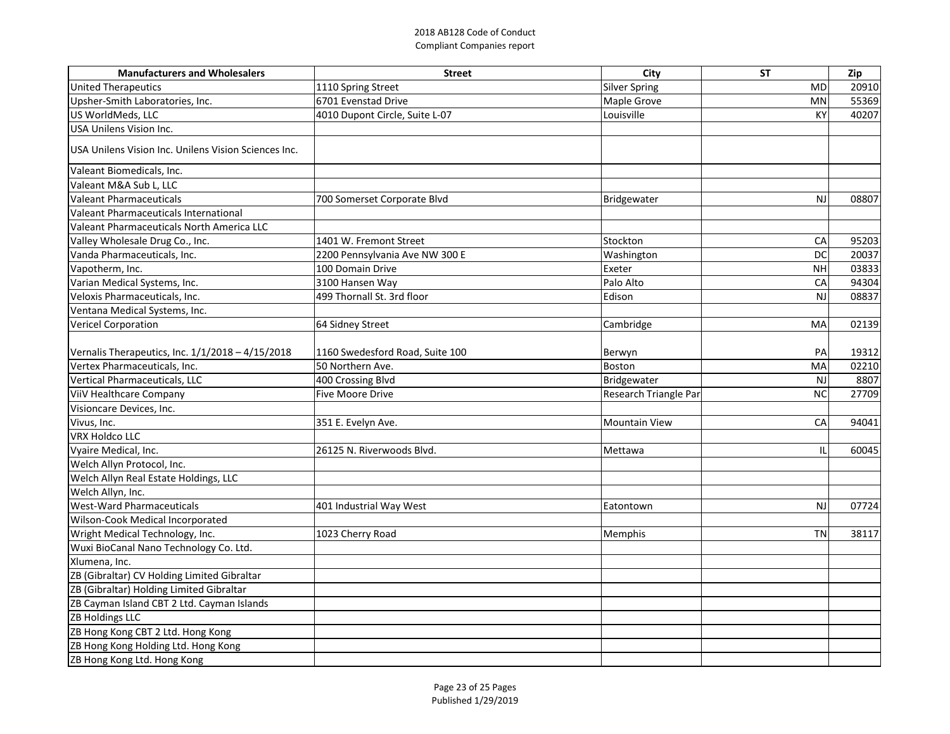| <b>Manufacturers and Wholesalers</b>                 | <b>Street</b>                   | City                  | <b>ST</b>      | Zip   |
|------------------------------------------------------|---------------------------------|-----------------------|----------------|-------|
| United Therapeutics                                  | 1110 Spring Street              | <b>Silver Spring</b>  | <b>MD</b>      | 20910 |
| Upsher-Smith Laboratories, Inc.                      | 6701 Evenstad Drive             | Maple Grove           | MN             | 55369 |
| US WorldMeds, LLC                                    | 4010 Dupont Circle, Suite L-07  | Louisville            | KY             | 40207 |
| USA Unilens Vision Inc.                              |                                 |                       |                |       |
| USA Unilens Vision Inc. Unilens Vision Sciences Inc. |                                 |                       |                |       |
| Valeant Biomedicals, Inc.                            |                                 |                       |                |       |
| Valeant M&A Sub L, LLC                               |                                 |                       |                |       |
| Valeant Pharmaceuticals                              | 700 Somerset Corporate Blvd     | Bridgewater           | <b>NJ</b>      | 08807 |
| Valeant Pharmaceuticals International                |                                 |                       |                |       |
| Valeant Pharmaceuticals North America LLC            |                                 |                       |                |       |
| Valley Wholesale Drug Co., Inc.                      | 1401 W. Fremont Street          | Stockton              | CA             | 95203 |
| Vanda Pharmaceuticals, Inc.                          | 2200 Pennsylvania Ave NW 300 E  | Washington            | D <sub>C</sub> | 20037 |
| Vapotherm, Inc.                                      | 100 Domain Drive                | Exeter                | <b>NH</b>      | 03833 |
| Varian Medical Systems, Inc.                         | 3100 Hansen Way                 | Palo Alto             | CA             | 94304 |
| Veloxis Pharmaceuticals, Inc.                        | 499 Thornall St. 3rd floor      | Edison                | NJ             | 08837 |
| Ventana Medical Systems, Inc.                        |                                 |                       |                |       |
| <b>Vericel Corporation</b>                           | 64 Sidney Street                | Cambridge             | MA             | 02139 |
| Vernalis Therapeutics, Inc. $1/1/2018 - 4/15/2018$   | 1160 Swedesford Road, Suite 100 | Berwyn                | PA             | 19312 |
| Vertex Pharmaceuticals, Inc.                         | 50 Northern Ave.                | <b>Boston</b>         | MA             | 02210 |
| Vertical Pharmaceuticals, LLC                        | 400 Crossing Blvd               | Bridgewater           | <b>NJ</b>      | 8807  |
| <b>ViiV Healthcare Company</b>                       | <b>Five Moore Drive</b>         | Research Triangle Par | <b>NC</b>      | 27709 |
| Visioncare Devices, Inc.                             |                                 |                       |                |       |
| Vivus, Inc.                                          | 351 E. Evelyn Ave.              | <b>Mountain View</b>  | CA             | 94041 |
| <b>VRX Holdco LLC</b>                                |                                 |                       |                |       |
| Vyaire Medical, Inc.                                 | 26125 N. Riverwoods Blvd.       | Mettawa               |                | 60045 |
| Welch Allyn Protocol, Inc.                           |                                 |                       |                |       |
| Welch Allyn Real Estate Holdings, LLC                |                                 |                       |                |       |
| Welch Allyn, Inc.<br>West-Ward Pharmaceuticals       |                                 |                       |                |       |
|                                                      | 401 Industrial Way West         | Eatontown             | NJ             | 07724 |
| Wilson-Cook Medical Incorporated                     |                                 |                       | TN             |       |
| Wright Medical Technology, Inc.                      | 1023 Cherry Road                | Memphis               |                | 38117 |
| Wuxi BioCanal Nano Technology Co. Ltd.               |                                 |                       |                |       |
| Xlumena, Inc.                                        |                                 |                       |                |       |
| ZB (Gibraltar) CV Holding Limited Gibraltar          |                                 |                       |                |       |
| ZB (Gibraltar) Holding Limited Gibraltar             |                                 |                       |                |       |
| ZB Cayman Island CBT 2 Ltd. Cayman Islands           |                                 |                       |                |       |
| ZB Holdings LLC                                      |                                 |                       |                |       |
| ZB Hong Kong CBT 2 Ltd. Hong Kong                    |                                 |                       |                |       |
| ZB Hong Kong Holding Ltd. Hong Kong                  |                                 |                       |                |       |
| ZB Hong Kong Ltd. Hong Kong                          |                                 |                       |                |       |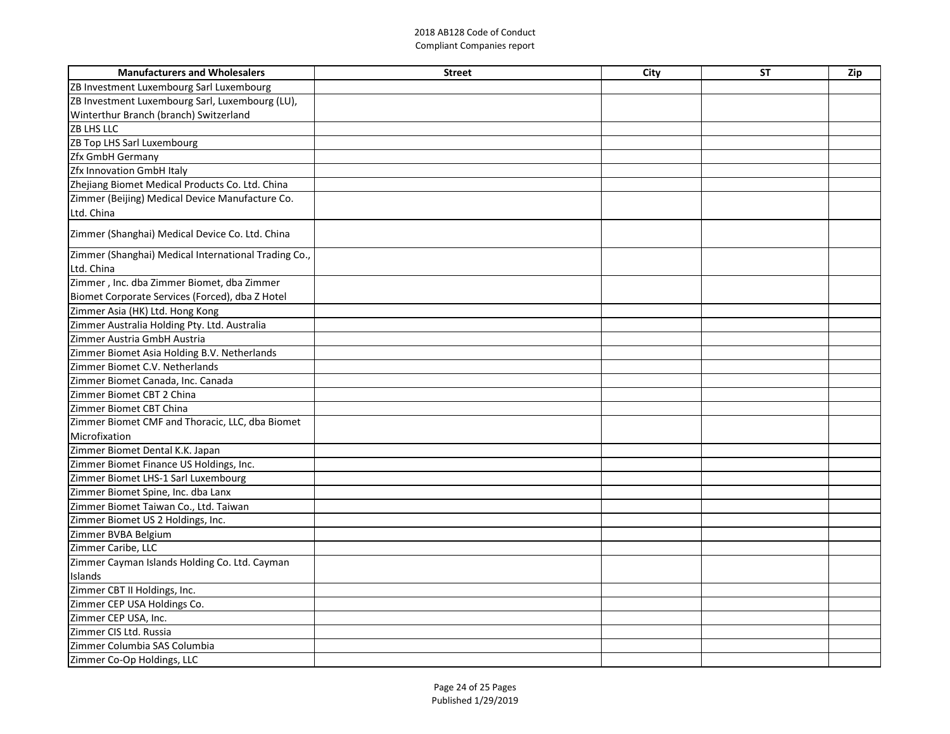| <b>Manufacturers and Wholesalers</b>                   | <b>Street</b> | City | <b>ST</b> | Zip |
|--------------------------------------------------------|---------------|------|-----------|-----|
| <b>ZB Investment Luxembourg Sarl Luxembourg</b>        |               |      |           |     |
| <b>ZB Investment Luxembourg Sarl, Luxembourg (LU),</b> |               |      |           |     |
| Winterthur Branch (branch) Switzerland                 |               |      |           |     |
| <b>ZB LHS LLC</b>                                      |               |      |           |     |
| <b>ZB Top LHS Sarl Luxembourg</b>                      |               |      |           |     |
| <b>Zfx GmbH Germany</b>                                |               |      |           |     |
| <b>Zfx Innovation GmbH Italy</b>                       |               |      |           |     |
| Zhejiang Biomet Medical Products Co. Ltd. China        |               |      |           |     |
| Zimmer (Beijing) Medical Device Manufacture Co.        |               |      |           |     |
| Ltd. China                                             |               |      |           |     |
| Zimmer (Shanghai) Medical Device Co. Ltd. China        |               |      |           |     |
| Zimmer (Shanghai) Medical International Trading Co.,   |               |      |           |     |
| Ltd. China                                             |               |      |           |     |
| Zimmer, Inc. dba Zimmer Biomet, dba Zimmer             |               |      |           |     |
| Biomet Corporate Services (Forced), dba Z Hotel        |               |      |           |     |
| Zimmer Asia (HK) Ltd. Hong Kong                        |               |      |           |     |
| Zimmer Australia Holding Pty. Ltd. Australia           |               |      |           |     |
| Zimmer Austria GmbH Austria                            |               |      |           |     |
| Zimmer Biomet Asia Holding B.V. Netherlands            |               |      |           |     |
| Zimmer Biomet C.V. Netherlands                         |               |      |           |     |
| Zimmer Biomet Canada, Inc. Canada                      |               |      |           |     |
| Zimmer Biomet CBT 2 China                              |               |      |           |     |
| Zimmer Biomet CBT China                                |               |      |           |     |
| Zimmer Biomet CMF and Thoracic, LLC, dba Biomet        |               |      |           |     |
| Microfixation                                          |               |      |           |     |
| Zimmer Biomet Dental K.K. Japan                        |               |      |           |     |
| Zimmer Biomet Finance US Holdings, Inc.                |               |      |           |     |
| Zimmer Biomet LHS-1 Sarl Luxembourg                    |               |      |           |     |
| Zimmer Biomet Spine, Inc. dba Lanx                     |               |      |           |     |
| Zimmer Biomet Taiwan Co., Ltd. Taiwan                  |               |      |           |     |
| Zimmer Biomet US 2 Holdings, Inc.                      |               |      |           |     |
| Zimmer BVBA Belgium                                    |               |      |           |     |
| Zimmer Caribe, LLC                                     |               |      |           |     |
| Zimmer Cayman Islands Holding Co. Ltd. Cayman          |               |      |           |     |
| Islands                                                |               |      |           |     |
| Zimmer CBT II Holdings, Inc.                           |               |      |           |     |
| Zimmer CEP USA Holdings Co.                            |               |      |           |     |
| Zimmer CEP USA, Inc.                                   |               |      |           |     |
| Zimmer CIS Ltd. Russia                                 |               |      |           |     |
| Zimmer Columbia SAS Columbia                           |               |      |           |     |
| Zimmer Co-Op Holdings, LLC                             |               |      |           |     |